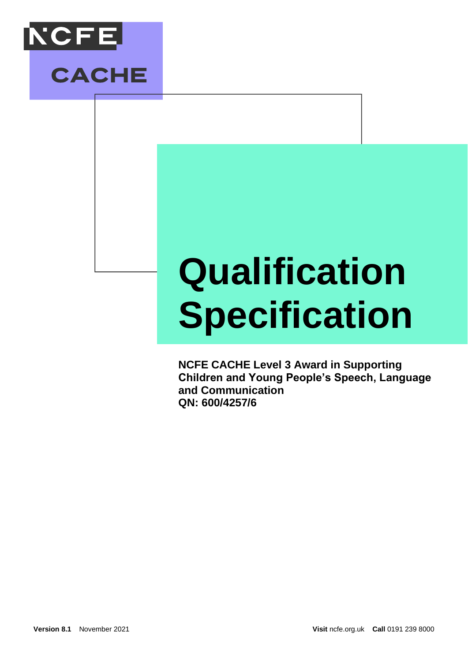



# **Qualification Specification**

**NCFE CACHE Level 3 Award in Supporting Children and Young People's Speech, Language and Communication QN: 600/4257/6**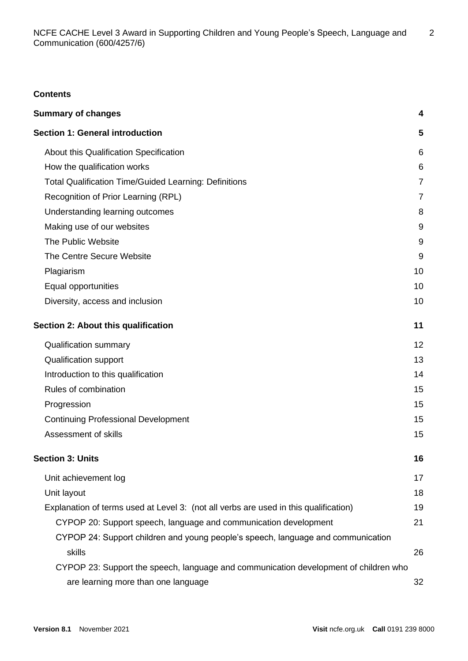# **Contents**

| <b>Summary of changes</b>                                                            | 4              |
|--------------------------------------------------------------------------------------|----------------|
| <b>Section 1: General introduction</b>                                               | 5              |
| About this Qualification Specification                                               | 6              |
| How the qualification works                                                          | 6              |
| <b>Total Qualification Time/Guided Learning: Definitions</b>                         | $\overline{7}$ |
| Recognition of Prior Learning (RPL)                                                  | $\overline{7}$ |
| Understanding learning outcomes                                                      | 8              |
| Making use of our websites                                                           | 9              |
| The Public Website                                                                   | 9              |
| The Centre Secure Website                                                            | 9              |
| Plagiarism                                                                           | 10             |
| Equal opportunities                                                                  | 10             |
| Diversity, access and inclusion                                                      | 10             |
| Section 2: About this qualification                                                  | 11             |
| <b>Qualification summary</b>                                                         | 12             |
| <b>Qualification support</b>                                                         | 13             |
| Introduction to this qualification                                                   | 14             |
| Rules of combination                                                                 | 15             |
| Progression                                                                          | 15             |
| <b>Continuing Professional Development</b>                                           | 15             |
| Assessment of skills                                                                 | 15             |
| <b>Section 3: Units</b>                                                              | 16             |
| Unit achievement log                                                                 | 17             |
| Unit layout                                                                          | 18             |
| Explanation of terms used at Level 3: (not all verbs are used in this qualification) | 19             |
| CYPOP 20: Support speech, language and communication development                     | 21             |
| CYPOP 24: Support children and young people's speech, language and communication     |                |
| skills                                                                               | 26             |
| CYPOP 23: Support the speech, language and communication development of children who |                |
| are learning more than one language                                                  | 32             |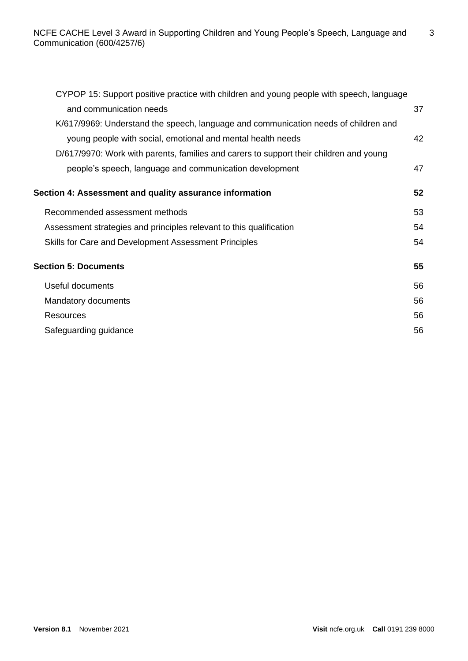| CYPOP 15: Support positive practice with children and young people with speech, language |    |
|------------------------------------------------------------------------------------------|----|
| and communication needs                                                                  | 37 |
| K/617/9969: Understand the speech, language and communication needs of children and      |    |
| young people with social, emotional and mental health needs                              | 42 |
| D/617/9970: Work with parents, families and carers to support their children and young   |    |
| people's speech, language and communication development                                  | 47 |
| Section 4: Assessment and quality assurance information                                  | 52 |
| Recommended assessment methods                                                           | 53 |
| Assessment strategies and principles relevant to this qualification                      | 54 |
| Skills for Care and Development Assessment Principles                                    | 54 |
| <b>Section 5: Documents</b>                                                              | 55 |
| Useful documents                                                                         | 56 |
| Mandatory documents                                                                      | 56 |
| <b>Resources</b>                                                                         | 56 |
| Safeguarding guidance                                                                    | 56 |
|                                                                                          |    |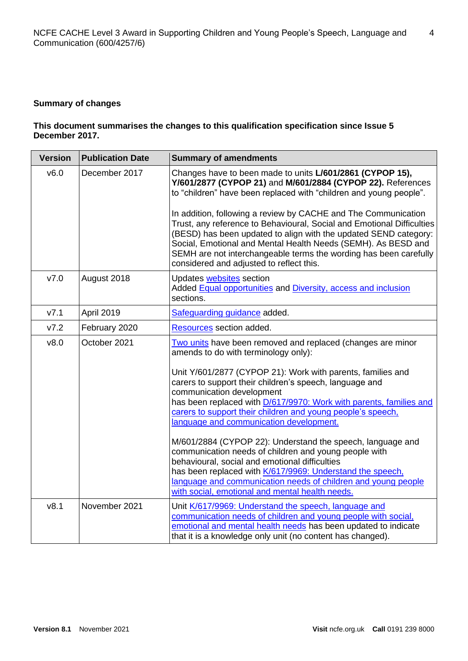#### **Summary of changes**

# **This document summarises the changes to this qualification specification since Issue 5 December 2017.**

| <b>Version</b> | <b>Publication Date</b> | <b>Summary of amendments</b>                                                                                                                                                                                                                                                                                                                                                                   |
|----------------|-------------------------|------------------------------------------------------------------------------------------------------------------------------------------------------------------------------------------------------------------------------------------------------------------------------------------------------------------------------------------------------------------------------------------------|
| v6.0           | December 2017           | Changes have to been made to units L/601/2861 (CYPOP 15),<br>Y/601/2877 (CYPOP 21) and M/601/2884 (CYPOP 22). References<br>to "children" have been replaced with "children and young people".                                                                                                                                                                                                 |
|                |                         | In addition, following a review by CACHE and The Communication<br>Trust, any reference to Behavioural, Social and Emotional Difficulties<br>(BESD) has been updated to align with the updated SEND category:<br>Social, Emotional and Mental Health Needs (SEMH). As BESD and<br>SEMH are not interchangeable terms the wording has been carefully<br>considered and adjusted to reflect this. |
| V7.0           | August 2018             | Updates websites section<br>Added Equal opportunities and Diversity, access and inclusion<br>sections.                                                                                                                                                                                                                                                                                         |
| V7.1           | <b>April 2019</b>       | Safeguarding guidance added.                                                                                                                                                                                                                                                                                                                                                                   |
| V7.2           | February 2020           | Resources section added.                                                                                                                                                                                                                                                                                                                                                                       |
| v8.0           | October 2021            | Two units have been removed and replaced (changes are minor<br>amends to do with terminology only):                                                                                                                                                                                                                                                                                            |
|                |                         | Unit Y/601/2877 (CYPOP 21): Work with parents, families and<br>carers to support their children's speech, language and<br>communication development                                                                                                                                                                                                                                            |
|                |                         | has been replaced with D/617/9970: Work with parents, families and<br>carers to support their children and young people's speech,<br>language and communication development.                                                                                                                                                                                                                   |
|                |                         | M/601/2884 (CYPOP 22): Understand the speech, language and<br>communication needs of children and young people with<br>behavioural, social and emotional difficulties<br>has been replaced with K/617/9969: Understand the speech,<br>language and communication needs of children and young people                                                                                            |
| v8.1           | November 2021           | with social, emotional and mental health needs.                                                                                                                                                                                                                                                                                                                                                |
|                |                         | Unit K/617/9969: Understand the speech, language and<br>communication needs of children and young people with social,<br>emotional and mental health needs has been updated to indicate<br>that it is a knowledge only unit (no content has changed).                                                                                                                                          |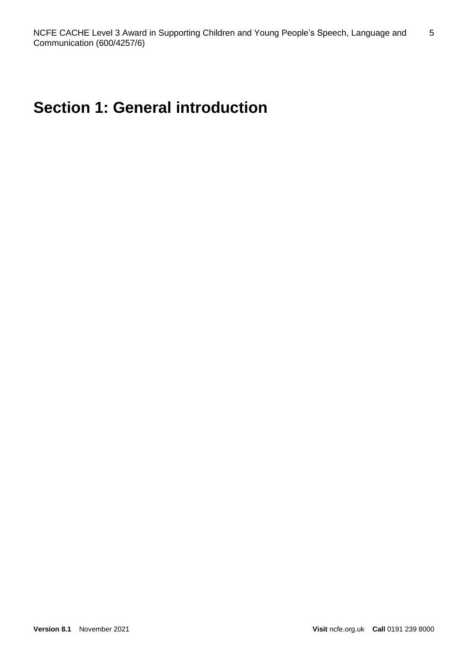# **Section 1: General introduction**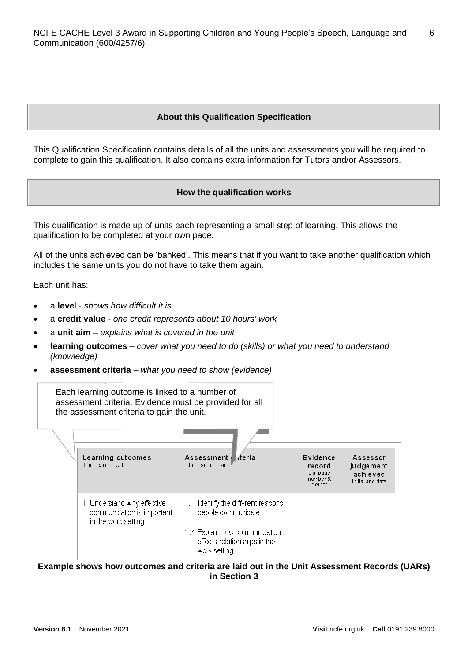# **About this Qualification Specification**

This Qualification Specification contains details of all the units and assessments you will be required to complete to gain this qualification. It also contains extra information for Tutors and/or Assessors.

#### **How the qualification works**

This qualification is made up of units each representing a small step of learning. This allows the qualification to be completed at your own pace.

All of the units achieved can be 'banked'. This means that if you want to take another qualification which includes the same units you do not have to take them again.

Each unit has:

- a **leve**l *shows how difficult it is*
- a **credit value** *one credit represents about 10 hours' work*
- a **unit aim** *explains what is covered in the unit*
- **learning outcomes** *cover what you need to do (skills) or what you need to understand (knowledge)*
- **assessment criteria** *what you need to show (evidence)*

Each learning outcome is linked to a number of assessment criteria. Evidence must be provided for all the assessment criteria to gain the unit.

| Learning outcomes<br>The learner will:                                            | Assessment Ateria<br>The learner can:                                           | Evidence<br>record<br>e.g. page<br>number &<br>method | Assessor<br>judgement<br>achieved<br>Initial and date |
|-----------------------------------------------------------------------------------|---------------------------------------------------------------------------------|-------------------------------------------------------|-------------------------------------------------------|
| 1. Understand why effective<br>communication is important<br>in the work setting. | 1.1. Identify the different reasons<br>people communicate.                      |                                                       |                                                       |
|                                                                                   | 1.2. Explain how communication<br>affects relationships in the<br>work setting. |                                                       |                                                       |

**Example shows how outcomes and criteria are laid out in the Unit Assessment Records (UARs) in Section 3**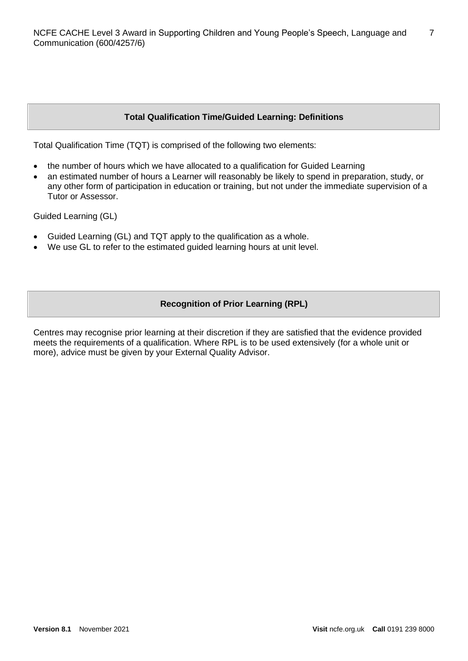# **Total Qualification Time/Guided Learning: Definitions**

Total Qualification Time (TQT) is comprised of the following two elements:

- the number of hours which we have allocated to a qualification for Guided Learning
- an estimated number of hours a Learner will reasonably be likely to spend in preparation, study, or any other form of participation in education or training, but not under the immediate supervision of a Tutor or Assessor.

Guided Learning (GL)

- Guided Learning (GL) and TQT apply to the qualification as a whole.
- We use GL to refer to the estimated guided learning hours at unit level.

# **Recognition of Prior Learning (RPL)**

Centres may recognise prior learning at their discretion if they are satisfied that the evidence provided meets the requirements of a qualification. Where RPL is to be used extensively (for a whole unit or more), advice must be given by your External Quality Advisor.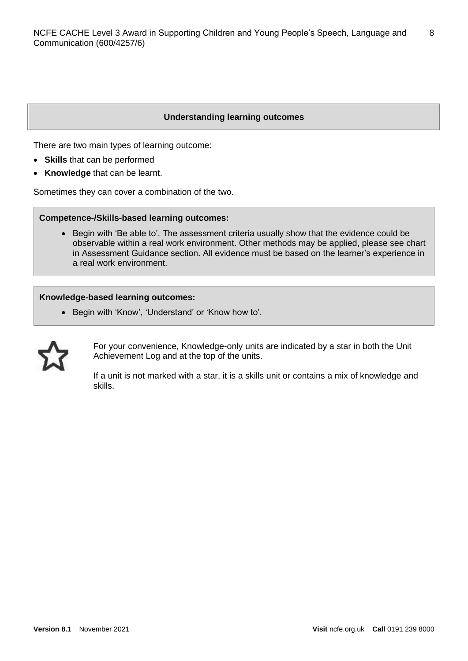#### **Understanding learning outcomes**

There are two main types of learning outcome:

- **Skills** that can be performed
- **Knowledge** that can be learnt.

Sometimes they can cover a combination of the two.

#### **Competence-/Skills-based learning outcomes:**

• Begin with 'Be able to'. The assessment criteria usually show that the evidence could be observable within a real work environment. Other methods may be applied, please see chart in Assessment Guidance section. All evidence must be based on the learner's experience in a real work environment.

#### **Knowledge-based learning outcomes:**

• Begin with 'Know', 'Understand' or 'Know how to'.



For your convenience, Knowledge-only units are indicated by a star in both the Unit Achievement Log and at the top of the units.

If a unit is not marked with a star, it is a skills unit or contains a mix of knowledge and skills.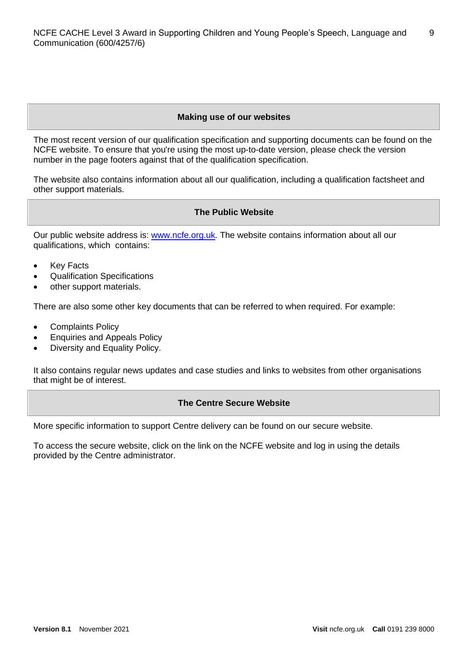# **Making use of our websites**

The most recent version of our qualification specification and supporting documents can be found on the NCFE website. To ensure that you're using the most up-to-date version, please check the version number in the page footers against that of the qualification specification.

The website also contains information about all our qualification, including a qualification factsheet and other support materials.

# **The Public Website**

Our public website address is: [www.ncfe.org.uk.](http://www.ncfe.org.uk/) The website contains information about all our qualifications, which contains:

- Key Facts
- Qualification Specifications
- other support materials.

There are also some other key documents that can be referred to when required. For example:

- Complaints Policy
- Enquiries and Appeals Policy
- Diversity and Equality Policy.

It also contains regular news updates and case studies and links to websites from other organisations that might be of interest.

#### **The Centre Secure Website**

More specific information to support Centre delivery can be found on our secure website.

To access the secure website, click on the link on the NCFE website and log in using the details provided by the Centre administrator.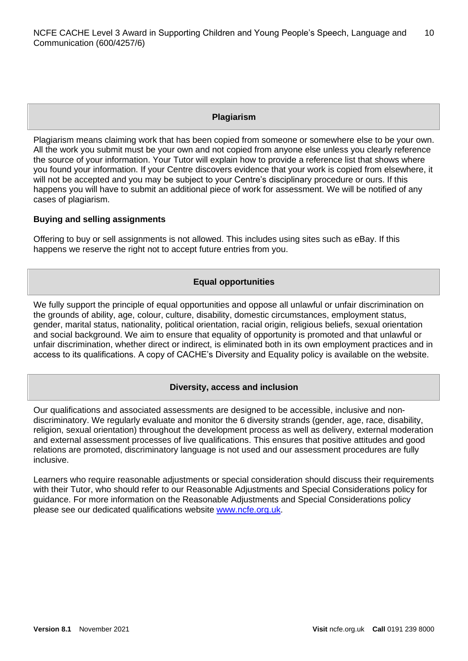#### **Plagiarism**

Plagiarism means claiming work that has been copied from someone or somewhere else to be your own. All the work you submit must be your own and not copied from anyone else unless you clearly reference the source of your information. Your Tutor will explain how to provide a reference list that shows where you found your information. If your Centre discovers evidence that your work is copied from elsewhere, it will not be accepted and you may be subject to your Centre's disciplinary procedure or ours. If this happens you will have to submit an additional piece of work for assessment. We will be notified of any cases of plagiarism.

# **Buying and selling assignments**

Offering to buy or sell assignments is not allowed. This includes using sites such as eBay. If this happens we reserve the right not to accept future entries from you.

# **Equal opportunities**

We fully support the principle of equal opportunities and oppose all unlawful or unfair discrimination on the grounds of ability, age, colour, culture, disability, domestic circumstances, employment status, gender, marital status, nationality, political orientation, racial origin, religious beliefs, sexual orientation and social background. We aim to ensure that equality of opportunity is promoted and that unlawful or unfair discrimination, whether direct or indirect, is eliminated both in its own employment practices and in access to its qualifications. A copy of CACHE's Diversity and Equality policy is available on the website.

#### **Diversity, access and inclusion**

Our qualifications and associated assessments are designed to be accessible, inclusive and nondiscriminatory. We regularly evaluate and monitor the 6 diversity strands (gender, age, race, disability, religion, sexual orientation) throughout the development process as well as delivery, external moderation and external assessment processes of live qualifications. This ensures that positive attitudes and good relations are promoted, discriminatory language is not used and our assessment procedures are fully inclusive.

Learners who require reasonable adjustments or special consideration should discuss their requirements with their Tutor, who should refer to our Reasonable Adjustments and Special Considerations policy for guidance. For more information on the Reasonable Adjustments and Special Considerations policy please see our dedicated qualifications website [www.ncfe.org.uk.](http://www.ncfe.org.uk/)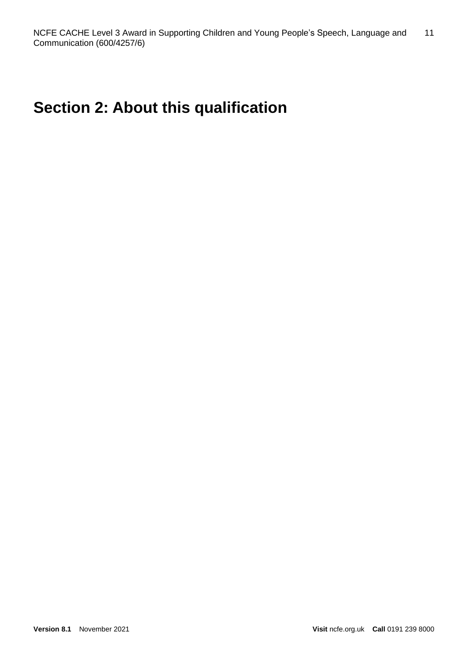# **Section 2: About this qualification**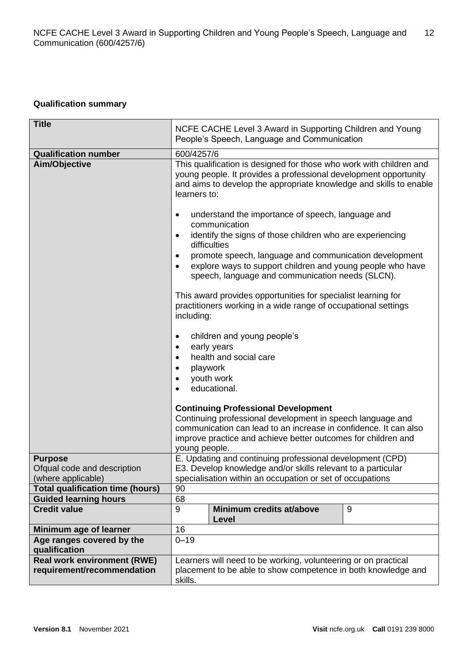# **Qualification summary**

| <b>Title</b>                                                     | NCFE CACHE Level 3 Award in Supporting Children and Young<br>People's Speech, Language and Communication                                                                                                                      |  |  |  |
|------------------------------------------------------------------|-------------------------------------------------------------------------------------------------------------------------------------------------------------------------------------------------------------------------------|--|--|--|
| <b>Qualification number</b>                                      | 600/4257/6                                                                                                                                                                                                                    |  |  |  |
| Aim/Objective                                                    | This qualification is designed for those who work with children and<br>young people. It provides a professional development opportunity<br>and aims to develop the appropriate knowledge and skills to enable<br>learners to: |  |  |  |
|                                                                  | understand the importance of speech, language and<br>$\bullet$<br>communication<br>identify the signs of those children who are experiencing<br>$\bullet$                                                                     |  |  |  |
|                                                                  | difficulties                                                                                                                                                                                                                  |  |  |  |
|                                                                  | promote speech, language and communication development<br>٠<br>explore ways to support children and young people who have<br>speech, language and communication needs (SLCN).                                                 |  |  |  |
|                                                                  | This award provides opportunities for specialist learning for<br>practitioners working in a wide range of occupational settings<br>including:                                                                                 |  |  |  |
|                                                                  | children and young people's<br>$\bullet$                                                                                                                                                                                      |  |  |  |
|                                                                  | early years<br>$\bullet$                                                                                                                                                                                                      |  |  |  |
|                                                                  | health and social care<br>$\bullet$                                                                                                                                                                                           |  |  |  |
|                                                                  | playwork                                                                                                                                                                                                                      |  |  |  |
|                                                                  | youth work                                                                                                                                                                                                                    |  |  |  |
|                                                                  | educational.                                                                                                                                                                                                                  |  |  |  |
|                                                                  | <b>Continuing Professional Development</b>                                                                                                                                                                                    |  |  |  |
|                                                                  | Continuing professional development in speech language and                                                                                                                                                                    |  |  |  |
|                                                                  | communication can lead to an increase in confidence. It can also                                                                                                                                                              |  |  |  |
|                                                                  | improve practice and achieve better outcomes for children and                                                                                                                                                                 |  |  |  |
| <b>Purpose</b>                                                   | young people.<br>E. Updating and continuing professional development (CPD)                                                                                                                                                    |  |  |  |
| Ofqual code and description                                      | E3. Develop knowledge and/or skills relevant to a particular                                                                                                                                                                  |  |  |  |
| (where applicable)                                               | specialisation within an occupation or set of occupations                                                                                                                                                                     |  |  |  |
| <b>Total qualification time (hours)</b>                          | 90                                                                                                                                                                                                                            |  |  |  |
| <b>Guided learning hours</b>                                     | 68                                                                                                                                                                                                                            |  |  |  |
| <b>Credit value</b>                                              | 9<br>Minimum credits at/above<br>9<br>Level                                                                                                                                                                                   |  |  |  |
| Minimum age of learner                                           | 16                                                                                                                                                                                                                            |  |  |  |
| Age ranges covered by the<br>qualification                       | $0 - 19$                                                                                                                                                                                                                      |  |  |  |
| <b>Real work environment (RWE)</b><br>requirement/recommendation | Learners will need to be working, volunteering or on practical<br>placement to be able to show competence in both knowledge and<br>skills.                                                                                    |  |  |  |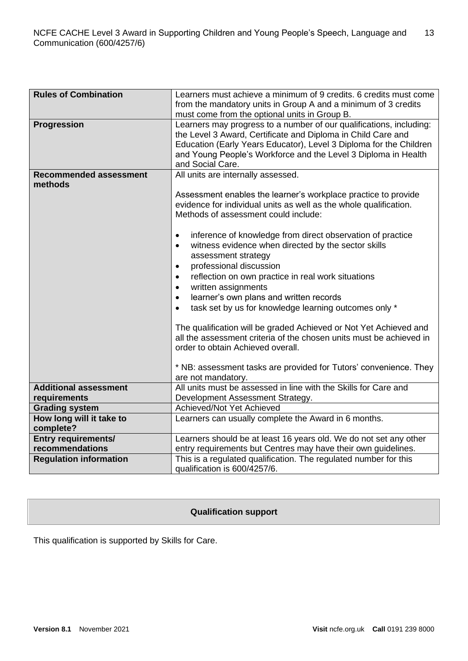| <b>Rules of Combination</b>           | Learners must achieve a minimum of 9 credits. 6 credits must come                                                                                                                                                                                                                                                                                                                                                                                                                                                                                                                                                                                                                                                                                                                                                                                                                                          |  |  |  |
|---------------------------------------|------------------------------------------------------------------------------------------------------------------------------------------------------------------------------------------------------------------------------------------------------------------------------------------------------------------------------------------------------------------------------------------------------------------------------------------------------------------------------------------------------------------------------------------------------------------------------------------------------------------------------------------------------------------------------------------------------------------------------------------------------------------------------------------------------------------------------------------------------------------------------------------------------------|--|--|--|
|                                       | from the mandatory units in Group A and a minimum of 3 credits                                                                                                                                                                                                                                                                                                                                                                                                                                                                                                                                                                                                                                                                                                                                                                                                                                             |  |  |  |
|                                       | must come from the optional units in Group B.                                                                                                                                                                                                                                                                                                                                                                                                                                                                                                                                                                                                                                                                                                                                                                                                                                                              |  |  |  |
| <b>Progression</b>                    | Learners may progress to a number of our qualifications, including:<br>the Level 3 Award, Certificate and Diploma in Child Care and<br>Education (Early Years Educator), Level 3 Diploma for the Children<br>and Young People's Workforce and the Level 3 Diploma in Health<br>and Social Care.                                                                                                                                                                                                                                                                                                                                                                                                                                                                                                                                                                                                            |  |  |  |
| <b>Recommended assessment</b>         | All units are internally assessed.                                                                                                                                                                                                                                                                                                                                                                                                                                                                                                                                                                                                                                                                                                                                                                                                                                                                         |  |  |  |
| methods                               | Assessment enables the learner's workplace practice to provide<br>evidence for individual units as well as the whole qualification.<br>Methods of assessment could include:<br>inference of knowledge from direct observation of practice<br>$\bullet$<br>witness evidence when directed by the sector skills<br>$\bullet$<br>assessment strategy<br>professional discussion<br>$\bullet$<br>reflection on own practice in real work situations<br>$\bullet$<br>written assignments<br>$\bullet$<br>learner's own plans and written records<br>$\bullet$<br>task set by us for knowledge learning outcomes only *<br>$\bullet$<br>The qualification will be graded Achieved or Not Yet Achieved and<br>all the assessment criteria of the chosen units must be achieved in<br>order to obtain Achieved overall.<br>* NB: assessment tasks are provided for Tutors' convenience. They<br>are not mandatory. |  |  |  |
| <b>Additional assessment</b>          | All units must be assessed in line with the Skills for Care and                                                                                                                                                                                                                                                                                                                                                                                                                                                                                                                                                                                                                                                                                                                                                                                                                                            |  |  |  |
| requirements<br><b>Grading system</b> | Development Assessment Strategy.<br>Achieved/Not Yet Achieved                                                                                                                                                                                                                                                                                                                                                                                                                                                                                                                                                                                                                                                                                                                                                                                                                                              |  |  |  |
|                                       |                                                                                                                                                                                                                                                                                                                                                                                                                                                                                                                                                                                                                                                                                                                                                                                                                                                                                                            |  |  |  |
| How long will it take to<br>complete? | Learners can usually complete the Award in 6 months.                                                                                                                                                                                                                                                                                                                                                                                                                                                                                                                                                                                                                                                                                                                                                                                                                                                       |  |  |  |
| <b>Entry requirements/</b>            | Learners should be at least 16 years old. We do not set any other                                                                                                                                                                                                                                                                                                                                                                                                                                                                                                                                                                                                                                                                                                                                                                                                                                          |  |  |  |
| recommendations                       | entry requirements but Centres may have their own guidelines.                                                                                                                                                                                                                                                                                                                                                                                                                                                                                                                                                                                                                                                                                                                                                                                                                                              |  |  |  |
| <b>Regulation information</b>         | This is a regulated qualification. The regulated number for this<br>qualification is 600/4257/6.                                                                                                                                                                                                                                                                                                                                                                                                                                                                                                                                                                                                                                                                                                                                                                                                           |  |  |  |

# **Qualification support**

This qualification is supported by Skills for Care.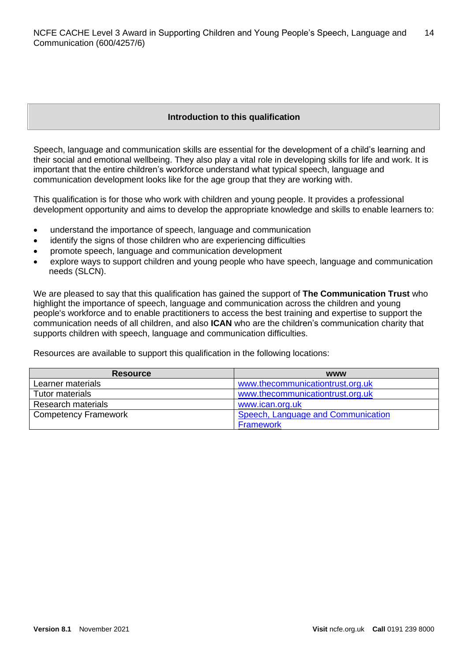# **Introduction to this qualification**

Speech, language and communication skills are essential for the development of a child's learning and their social and emotional wellbeing. They also play a vital role in developing skills for life and work. It is important that the entire children's workforce understand what typical speech, language and communication development looks like for the age group that they are working with.

This qualification is for those who work with children and young people. It provides a professional development opportunity and aims to develop the appropriate knowledge and skills to enable learners to:

- understand the importance of speech, language and communication
- identify the signs of those children who are experiencing difficulties
- promote speech, language and communication development
- explore ways to support children and young people who have speech, language and communication needs (SLCN).

We are pleased to say that this qualification has gained the support of **The Communication Trust** who highlight the importance of speech, language and communication across the children and young people's workforce and to enable practitioners to access the best training and expertise to support the communication needs of all children, and also **ICAN** who are the children's communication charity that supports children with speech, language and communication difficulties.

Resources are available to support this qualification in the following locations:

| <b>Resource</b>             | <b>WWW</b>                         |
|-----------------------------|------------------------------------|
| Learner materials           | www.thecommunicationtrust.org.uk   |
| Tutor materials             | www.thecommunicationtrust.org.uk   |
| <b>Research materials</b>   | www.ican.org.uk                    |
| <b>Competency Framework</b> | Speech, Language and Communication |
|                             | <b>Framework</b>                   |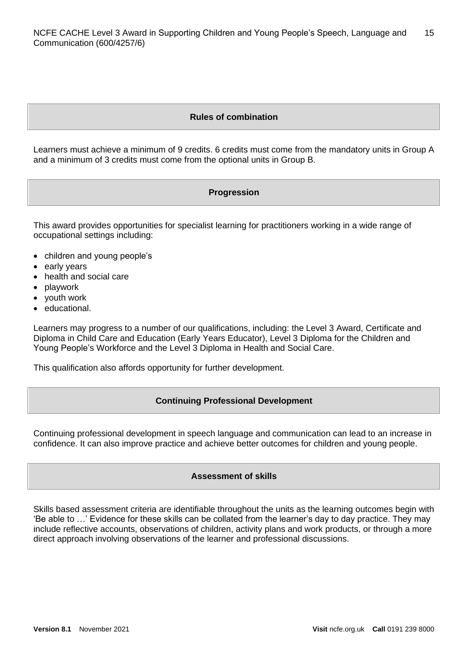# **Rules of combination**

Learners must achieve a minimum of 9 credits. 6 credits must come from the mandatory units in Group A and a minimum of 3 credits must come from the optional units in Group B.

# **Progression**

This award provides opportunities for specialist learning for practitioners working in a wide range of occupational settings including:

- children and young people's
- early years
- health and social care
- playwork
- youth work
- educational.

Learners may progress to a number of our qualifications, including: the Level 3 Award, Certificate and Diploma in Child Care and Education (Early Years Educator), Level 3 Diploma for the Children and Young People's Workforce and the Level 3 Diploma in Health and Social Care.

This qualification also affords opportunity for further development.

#### **Continuing Professional Development**

Continuing professional development in speech language and communication can lead to an increase in confidence. It can also improve practice and achieve better outcomes for children and young people.

# **Assessment of skills**

Skills based assessment criteria are identifiable throughout the units as the learning outcomes begin with 'Be able to …' Evidence for these skills can be collated from the learner's day to day practice. They may include reflective accounts, observations of children, activity plans and work products, or through a more direct approach involving observations of the learner and professional discussions.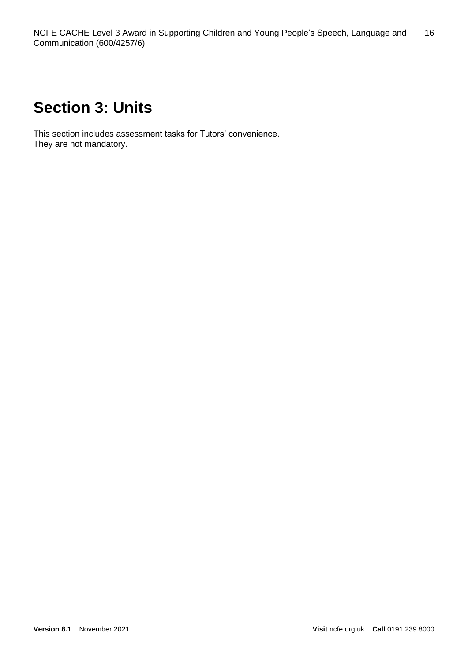# **Section 3: Units**

This section includes assessment tasks for Tutors' convenience. They are not mandatory.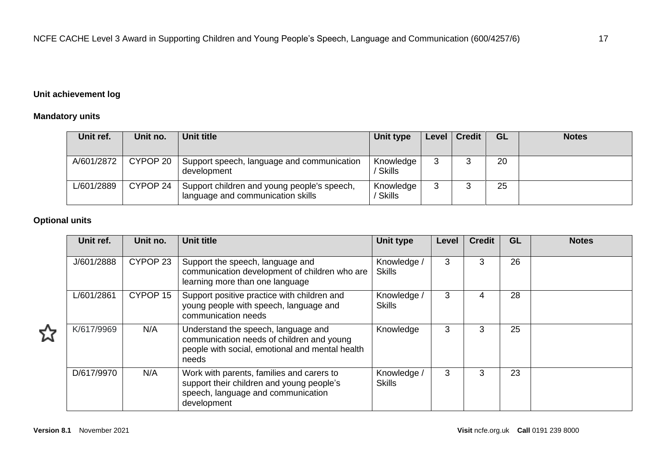# **Unit achievement log**

# **Mandatory units**

| Unit ref.  | Unit no. | <b>Unit title</b>                                                                | Unit type                  | Level   Credit | <b>GL</b> | <b>Notes</b> |
|------------|----------|----------------------------------------------------------------------------------|----------------------------|----------------|-----------|--------------|
| A/601/2872 | CYPOP 20 | Support speech, language and communication<br>development                        | Knowledge<br><b>Skills</b> |                | 20        |              |
| L/601/2889 | CYPOP 24 | Support children and young people's speech,<br>language and communication skills | Knowledge<br>Skills        |                | 25        |              |

# **Optional units**

| Unit ref.  | Unit no. | <b>Unit title</b>                                                                                                                            | <b>Unit type</b>             | Level | <b>Credit</b> | GL | <b>Notes</b> |
|------------|----------|----------------------------------------------------------------------------------------------------------------------------------------------|------------------------------|-------|---------------|----|--------------|
| J/601/2888 | CYPOP 23 | Support the speech, language and<br>communication development of children who are<br>learning more than one language                         | Knowledge /<br><b>Skills</b> | 3     | 3             | 26 |              |
| L/601/2861 | CYPOP 15 | Support positive practice with children and<br>young people with speech, language and<br>communication needs                                 | Knowledge /<br><b>Skills</b> | 3     | 4             | 28 |              |
| K/617/9969 | N/A      | Understand the speech, language and<br>communication needs of children and young<br>people with social, emotional and mental health<br>needs | Knowledge                    | 3     | 3             | 25 |              |
| D/617/9970 | N/A      | Work with parents, families and carers to<br>support their children and young people's<br>speech, language and communication<br>development  | Knowledge /<br><b>Skills</b> | 3     | 3             | 23 |              |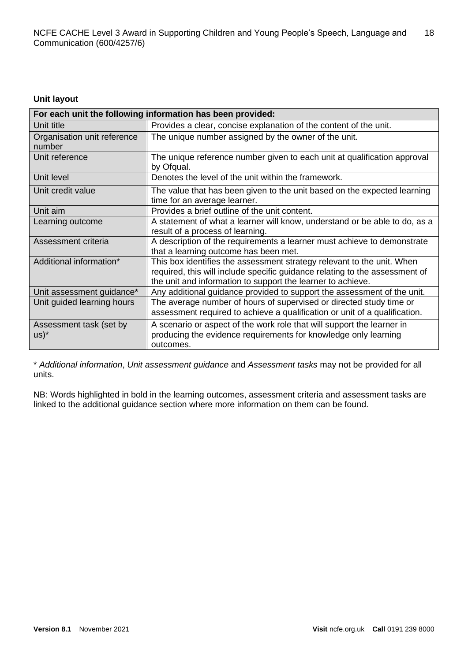# **Unit layout**

| For each unit the following information has been provided: |                                                                                                                                                                                                                      |  |  |  |  |
|------------------------------------------------------------|----------------------------------------------------------------------------------------------------------------------------------------------------------------------------------------------------------------------|--|--|--|--|
| Unit title                                                 | Provides a clear, concise explanation of the content of the unit.                                                                                                                                                    |  |  |  |  |
| Organisation unit reference<br>number                      | The unique number assigned by the owner of the unit.                                                                                                                                                                 |  |  |  |  |
| Unit reference                                             | The unique reference number given to each unit at qualification approval<br>by Ofqual.                                                                                                                               |  |  |  |  |
| Unit level                                                 | Denotes the level of the unit within the framework.                                                                                                                                                                  |  |  |  |  |
| Unit credit value                                          | The value that has been given to the unit based on the expected learning<br>time for an average learner.                                                                                                             |  |  |  |  |
| Unit aim                                                   | Provides a brief outline of the unit content.                                                                                                                                                                        |  |  |  |  |
| Learning outcome                                           | A statement of what a learner will know, understand or be able to do, as a<br>result of a process of learning.                                                                                                       |  |  |  |  |
| Assessment criteria                                        | A description of the requirements a learner must achieve to demonstrate<br>that a learning outcome has been met.                                                                                                     |  |  |  |  |
| Additional information*                                    | This box identifies the assessment strategy relevant to the unit. When<br>required, this will include specific guidance relating to the assessment of<br>the unit and information to support the learner to achieve. |  |  |  |  |
| Unit assessment guidance*                                  | Any additional guidance provided to support the assessment of the unit.                                                                                                                                              |  |  |  |  |
| Unit guided learning hours                                 | The average number of hours of supervised or directed study time or<br>assessment required to achieve a qualification or unit of a qualification.                                                                    |  |  |  |  |
| Assessment task (set by<br>$US)^*$                         | A scenario or aspect of the work role that will support the learner in<br>producing the evidence requirements for knowledge only learning<br>outcomes.                                                               |  |  |  |  |

\* *Additional information*, *Unit assessment guidance* and *Assessment tasks* may not be provided for all units.

NB: Words highlighted in bold in the learning outcomes, assessment criteria and assessment tasks are linked to the additional guidance section where more information on them can be found.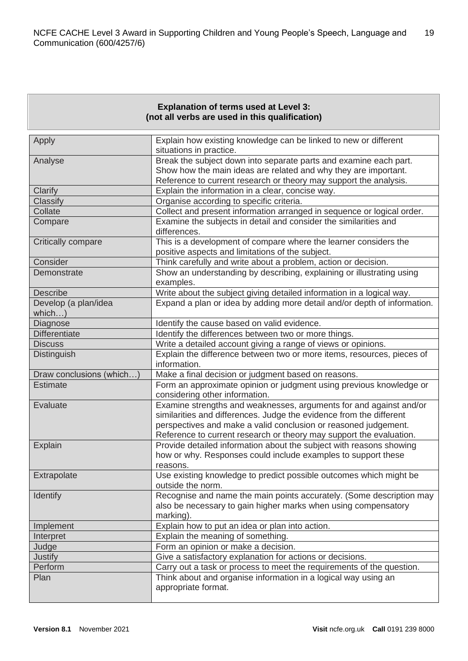# **Explanation of terms used at Level 3: (not all verbs are used in this qualification)**

| Apply                          | Explain how existing knowledge can be linked to new or different<br>situations in practice.                                                                                                                                                                                         |
|--------------------------------|-------------------------------------------------------------------------------------------------------------------------------------------------------------------------------------------------------------------------------------------------------------------------------------|
| Analyse                        | Break the subject down into separate parts and examine each part.<br>Show how the main ideas are related and why they are important.                                                                                                                                                |
|                                | Reference to current research or theory may support the analysis.                                                                                                                                                                                                                   |
| Clarify                        | Explain the information in a clear, concise way.                                                                                                                                                                                                                                    |
| Classify                       | Organise according to specific criteria.                                                                                                                                                                                                                                            |
| Collate                        | Collect and present information arranged in sequence or logical order.                                                                                                                                                                                                              |
| Compare                        | Examine the subjects in detail and consider the similarities and<br>differences.                                                                                                                                                                                                    |
| Critically compare             | This is a development of compare where the learner considers the<br>positive aspects and limitations of the subject.                                                                                                                                                                |
| Consider                       | Think carefully and write about a problem, action or decision.                                                                                                                                                                                                                      |
| Demonstrate                    | Show an understanding by describing, explaining or illustrating using<br>examples.                                                                                                                                                                                                  |
| <b>Describe</b>                | Write about the subject giving detailed information in a logical way.                                                                                                                                                                                                               |
| Develop (a plan/idea<br>which) | Expand a plan or idea by adding more detail and/or depth of information.                                                                                                                                                                                                            |
| Diagnose                       | Identify the cause based on valid evidence.                                                                                                                                                                                                                                         |
| <b>Differentiate</b>           | Identify the differences between two or more things.                                                                                                                                                                                                                                |
| <b>Discuss</b>                 | Write a detailed account giving a range of views or opinions.                                                                                                                                                                                                                       |
| <b>Distinguish</b>             | Explain the difference between two or more items, resources, pieces of<br>information.                                                                                                                                                                                              |
| Draw conclusions (which)       | Make a final decision or judgment based on reasons.                                                                                                                                                                                                                                 |
| <b>Estimate</b>                | Form an approximate opinion or judgment using previous knowledge or<br>considering other information.                                                                                                                                                                               |
| Evaluate                       | Examine strengths and weaknesses, arguments for and against and/or<br>similarities and differences. Judge the evidence from the different<br>perspectives and make a valid conclusion or reasoned judgement.<br>Reference to current research or theory may support the evaluation. |
| Explain                        | Provide detailed information about the subject with reasons showing<br>how or why. Responses could include examples to support these<br>reasons.                                                                                                                                    |
| Extrapolate                    | Use existing knowledge to predict possible outcomes which might be<br>outside the norm.                                                                                                                                                                                             |
| <b>Identify</b>                | Recognise and name the main points accurately. (Some description may<br>also be necessary to gain higher marks when using compensatory<br>marking).                                                                                                                                 |
| Implement                      | Explain how to put an idea or plan into action.                                                                                                                                                                                                                                     |
| Interpret                      | Explain the meaning of something.                                                                                                                                                                                                                                                   |
| Judge                          | Form an opinion or make a decision.                                                                                                                                                                                                                                                 |
| <b>Justify</b>                 | Give a satisfactory explanation for actions or decisions.                                                                                                                                                                                                                           |
| Perform                        | Carry out a task or process to meet the requirements of the question.                                                                                                                                                                                                               |
| Plan                           | Think about and organise information in a logical way using an<br>appropriate format.                                                                                                                                                                                               |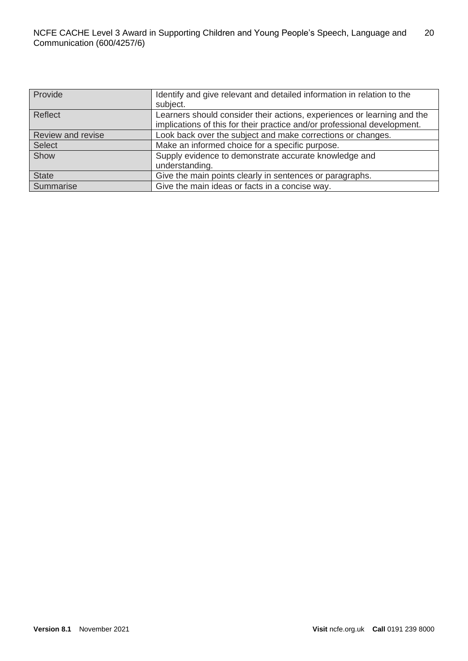| Provide           | Identify and give relevant and detailed information in relation to the   |  |  |  |
|-------------------|--------------------------------------------------------------------------|--|--|--|
|                   | subject.                                                                 |  |  |  |
| Reflect           | Learners should consider their actions, experiences or learning and the  |  |  |  |
|                   | implications of this for their practice and/or professional development. |  |  |  |
| Review and revise | Look back over the subject and make corrections or changes.              |  |  |  |
| <b>Select</b>     | Make an informed choice for a specific purpose.                          |  |  |  |
| Show              | Supply evidence to demonstrate accurate knowledge and                    |  |  |  |
|                   | understanding.                                                           |  |  |  |
| <b>State</b>      | Give the main points clearly in sentences or paragraphs.                 |  |  |  |
| Summarise         | Give the main ideas or facts in a concise way.                           |  |  |  |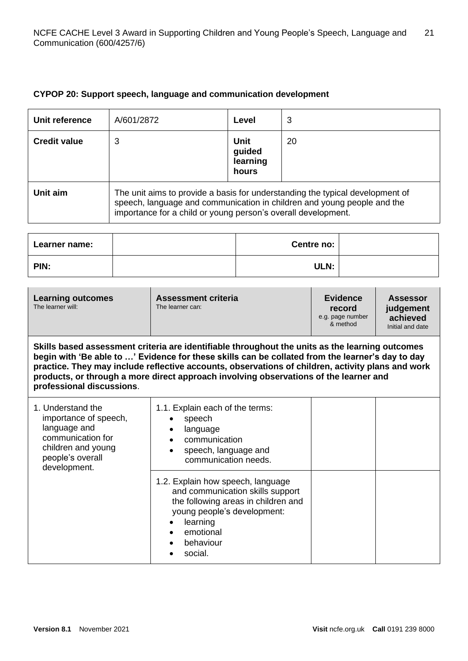# **CYPOP 20: Support speech, language and communication development**

| Unit reference      | A/601/2872                                                                                                                                                                                                                | Level                               | 3  |
|---------------------|---------------------------------------------------------------------------------------------------------------------------------------------------------------------------------------------------------------------------|-------------------------------------|----|
| <b>Credit value</b> | 3                                                                                                                                                                                                                         | Unit<br>guided<br>learning<br>hours | 20 |
| Unit aim            | The unit aims to provide a basis for understanding the typical development of<br>speech, language and communication in children and young people and the<br>importance for a child or young person's overall development. |                                     |    |

| Learner name: | Centre no: |  |
|---------------|------------|--|
| PIN:          | ULN:       |  |

| <b>Learning outcomes</b><br>The learner will:                                                                                                                                                                                                                                                                                                                                                                                  | <b>Assessment criteria</b><br>The learner can:                                                                                                                                               | <b>Evidence</b><br>record<br>e.g. page number<br>& method | Assessor<br>judgement<br>achieved<br>Initial and date |
|--------------------------------------------------------------------------------------------------------------------------------------------------------------------------------------------------------------------------------------------------------------------------------------------------------------------------------------------------------------------------------------------------------------------------------|----------------------------------------------------------------------------------------------------------------------------------------------------------------------------------------------|-----------------------------------------------------------|-------------------------------------------------------|
| Skills based assessment criteria are identifiable throughout the units as the learning outcomes<br>begin with 'Be able to ' Evidence for these skills can be collated from the learner's day to day<br>practice. They may include reflective accounts, observations of children, activity plans and work<br>products, or through a more direct approach involving observations of the learner and<br>professional discussions. |                                                                                                                                                                                              |                                                           |                                                       |
| 1. Understand the<br>importance of speech,<br>language and<br>communication for<br>children and young<br>people's overall<br>development.                                                                                                                                                                                                                                                                                      | 1.1. Explain each of the terms:<br>speech<br>language<br>communication<br>speech, language and<br>communication needs.                                                                       |                                                           |                                                       |
|                                                                                                                                                                                                                                                                                                                                                                                                                                | 1.2. Explain how speech, language<br>and communication skills support<br>the following areas in children and<br>young people's development:<br>learning<br>emotional<br>behaviour<br>social. |                                                           |                                                       |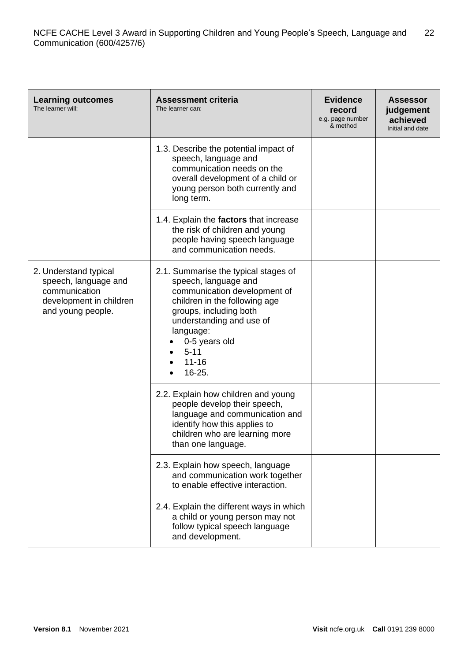| <b>Learning outcomes</b><br>The learner will:                                                                  | <b>Assessment criteria</b><br>The learner can:                                                                                                                                                                                                       | <b>Evidence</b><br>record<br>e.g. page number<br>& method | <b>Assessor</b><br>judgement<br>achieved<br>Initial and date |
|----------------------------------------------------------------------------------------------------------------|------------------------------------------------------------------------------------------------------------------------------------------------------------------------------------------------------------------------------------------------------|-----------------------------------------------------------|--------------------------------------------------------------|
|                                                                                                                | 1.3. Describe the potential impact of<br>speech, language and<br>communication needs on the<br>overall development of a child or<br>young person both currently and<br>long term.                                                                    |                                                           |                                                              |
|                                                                                                                | 1.4. Explain the factors that increase<br>the risk of children and young<br>people having speech language<br>and communication needs.                                                                                                                |                                                           |                                                              |
| 2. Understand typical<br>speech, language and<br>communication<br>development in children<br>and young people. | 2.1. Summarise the typical stages of<br>speech, language and<br>communication development of<br>children in the following age<br>groups, including both<br>understanding and use of<br>language:<br>0-5 years old<br>$5 - 11$<br>$11 - 16$<br>16-25. |                                                           |                                                              |
|                                                                                                                | 2.2. Explain how children and young<br>people develop their speech,<br>language and communication and<br>identify how this applies to<br>children who are learning more<br>than one language.                                                        |                                                           |                                                              |
|                                                                                                                | 2.3. Explain how speech, language<br>and communication work together<br>to enable effective interaction.                                                                                                                                             |                                                           |                                                              |
|                                                                                                                | 2.4. Explain the different ways in which<br>a child or young person may not<br>follow typical speech language<br>and development.                                                                                                                    |                                                           |                                                              |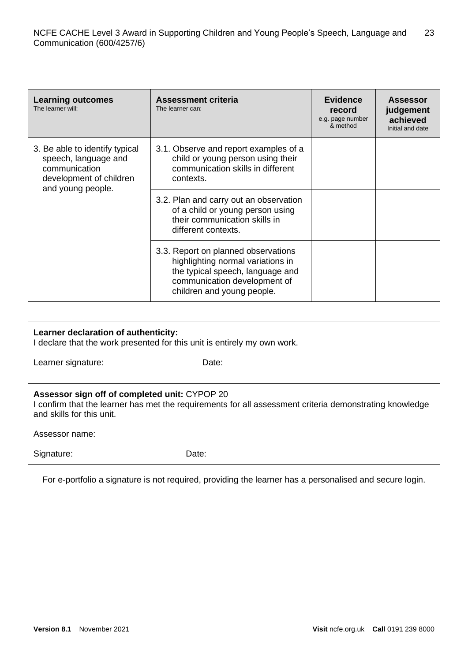| <b>Learning outcomes</b><br>The learner will:                                                                           | <b>Assessment criteria</b><br>The learner can:                                                                                                                             | <b>Evidence</b><br>record<br>e.g. page number<br>& method | <b>Assessor</b><br>judgement<br>achieved<br>Initial and date |
|-------------------------------------------------------------------------------------------------------------------------|----------------------------------------------------------------------------------------------------------------------------------------------------------------------------|-----------------------------------------------------------|--------------------------------------------------------------|
| 3. Be able to identify typical<br>speech, language and<br>communication<br>development of children<br>and young people. | 3.1. Observe and report examples of a<br>child or young person using their<br>communication skills in different<br>contexts.                                               |                                                           |                                                              |
|                                                                                                                         | 3.2. Plan and carry out an observation<br>of a child or young person using<br>their communication skills in<br>different contexts.                                         |                                                           |                                                              |
|                                                                                                                         | 3.3. Report on planned observations<br>highlighting normal variations in<br>the typical speech, language and<br>communication development of<br>children and young people. |                                                           |                                                              |

# **Learner declaration of authenticity:**

I declare that the work presented for this unit is entirely my own work.

Learner signature: Date:

# **Assessor sign off of completed unit:** CYPOP 20

I confirm that the learner has met the requirements for all assessment criteria demonstrating knowledge and skills for this unit.

Assessor name:

Signature: Date:

For e-portfolio a signature is not required, providing the learner has a personalised and secure login.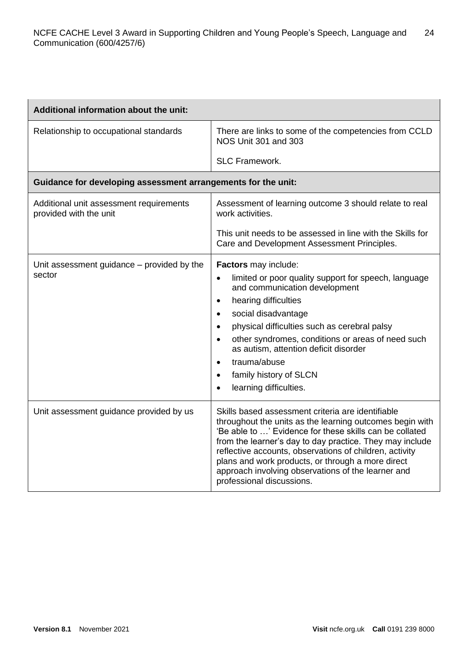| <b>Additional information about the unit:</b>                     |                                                                                                                                                                                                                                                                                                                                                                                                                                                                                        |
|-------------------------------------------------------------------|----------------------------------------------------------------------------------------------------------------------------------------------------------------------------------------------------------------------------------------------------------------------------------------------------------------------------------------------------------------------------------------------------------------------------------------------------------------------------------------|
| Relationship to occupational standards                            | There are links to some of the competencies from CCLD<br>NOS Unit 301 and 303                                                                                                                                                                                                                                                                                                                                                                                                          |
|                                                                   | <b>SLC Framework.</b>                                                                                                                                                                                                                                                                                                                                                                                                                                                                  |
| Guidance for developing assessment arrangements for the unit:     |                                                                                                                                                                                                                                                                                                                                                                                                                                                                                        |
| Additional unit assessment requirements<br>provided with the unit | Assessment of learning outcome 3 should relate to real<br>work activities.                                                                                                                                                                                                                                                                                                                                                                                                             |
|                                                                   | This unit needs to be assessed in line with the Skills for<br>Care and Development Assessment Principles.                                                                                                                                                                                                                                                                                                                                                                              |
| Unit assessment guidance – provided by the<br>sector              | Factors may include:<br>limited or poor quality support for speech, language<br>$\bullet$<br>and communication development<br>hearing difficulties<br>$\bullet$<br>social disadvantage<br>$\bullet$<br>physical difficulties such as cerebral palsy<br>$\bullet$<br>other syndromes, conditions or areas of need such<br>$\bullet$<br>as autism, attention deficit disorder<br>trauma/abuse<br>$\bullet$<br>family history of SLCN<br>$\bullet$<br>learning difficulties.<br>$\bullet$ |
| Unit assessment guidance provided by us                           | Skills based assessment criteria are identifiable<br>throughout the units as the learning outcomes begin with<br>'Be able to ' Evidence for these skills can be collated<br>from the learner's day to day practice. They may include<br>reflective accounts, observations of children, activity<br>plans and work products, or through a more direct<br>approach involving observations of the learner and<br>professional discussions.                                                |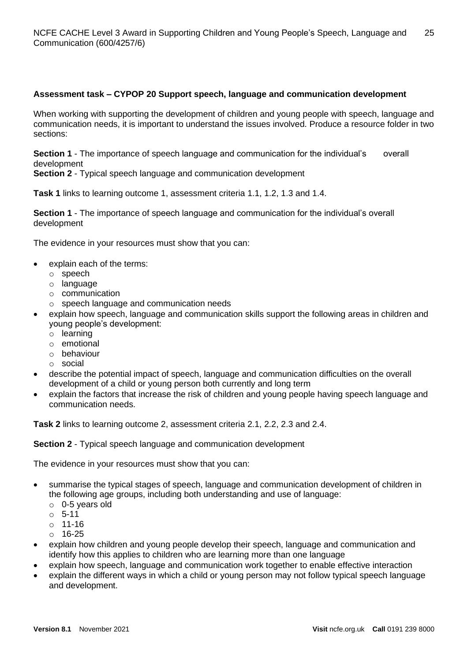# **Assessment task – CYPOP 20 Support speech, language and communication development**

When working with supporting the development of children and young people with speech, language and communication needs, it is important to understand the issues involved. Produce a resource folder in two sections:

**Section 1** - The importance of speech language and communication for the individual's overall development

**Section 2** - Typical speech language and communication development

**Task 1** links to learning outcome 1, assessment criteria 1.1, 1.2, 1.3 and 1.4.

**Section 1** - The importance of speech language and communication for the individual's overall development

The evidence in your resources must show that you can:

- explain each of the terms:
	- o speech
	- o language
	- o communication
	- o speech language and communication needs
- explain how speech, language and communication skills support the following areas in children and young people's development:
	- o learning
	- o emotional
	- o behaviour
	- o social
- describe the potential impact of speech, language and communication difficulties on the overall development of a child or young person both currently and long term
- explain the factors that increase the risk of children and young people having speech language and communication needs.

**Task 2** links to learning outcome 2, assessment criteria 2.1, 2.2, 2.3 and 2.4.

#### **Section 2** - Typical speech language and communication development

The evidence in your resources must show that you can:

- summarise the typical stages of speech, language and communication development of children in the following age groups, including both understanding and use of language:
	- o 0-5 years old
	- o 5-11
	- o 11-16
	- $\circ$  16-25
- explain how children and young people develop their speech, language and communication and identify how this applies to children who are learning more than one language
- explain how speech, language and communication work together to enable effective interaction
- explain the different ways in which a child or young person may not follow typical speech language and development.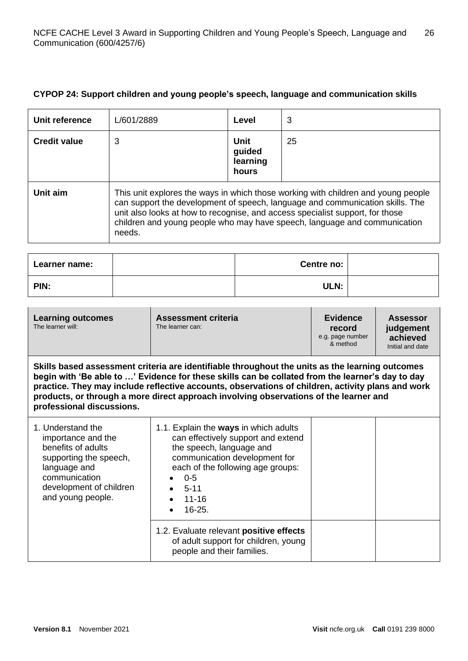# **CYPOP 24: Support children and young people's speech, language and communication skills**

| Unit reference      | L/601/2889                                                                                                                                                                                                                                                                                                                                 | Level                               | 3  |
|---------------------|--------------------------------------------------------------------------------------------------------------------------------------------------------------------------------------------------------------------------------------------------------------------------------------------------------------------------------------------|-------------------------------------|----|
| <b>Credit value</b> | 3                                                                                                                                                                                                                                                                                                                                          | Unit<br>guided<br>learning<br>hours | 25 |
| Unit aim            | This unit explores the ways in which those working with children and young people<br>can support the development of speech, language and communication skills. The<br>unit also looks at how to recognise, and access specialist support, for those<br>children and young people who may have speech, language and communication<br>needs. |                                     |    |

| Learner name: | Centre no: |  |
|---------------|------------|--|
| PIN:          | ULN:       |  |

| <b>Learning outcomes</b><br>The learner will: | <b>Assessment criteria</b><br>The learner can: | <b>Evidence</b><br>record<br>e.g. page number<br>& method | <b>Assessor</b><br>judgement<br>achieved<br>Initial and date |
|-----------------------------------------------|------------------------------------------------|-----------------------------------------------------------|--------------------------------------------------------------|
|                                               |                                                |                                                           |                                                              |

**Skills based assessment criteria are identifiable throughout the units as the learning outcomes begin with 'Be able to …' Evidence for these skills can be collated from the learner's day to day practice. They may include reflective accounts, observations of children, activity plans and work products, or through a more direct approach involving observations of the learner and professional discussions.**

| 1. Understand the<br>importance and the<br>benefits of adults<br>supporting the speech,<br>language and<br>communication<br>development of children<br>and young people. | 1.1. Explain the ways in which adults<br>can effectively support and extend<br>the speech, language and<br>communication development for<br>each of the following age groups:<br>$0 - 5$<br>$5 - 11$<br>$11 - 16$<br>$16 - 25$ |  |
|--------------------------------------------------------------------------------------------------------------------------------------------------------------------------|--------------------------------------------------------------------------------------------------------------------------------------------------------------------------------------------------------------------------------|--|
|                                                                                                                                                                          | 1.2. Evaluate relevant positive effects<br>of adult support for children, young<br>people and their families.                                                                                                                  |  |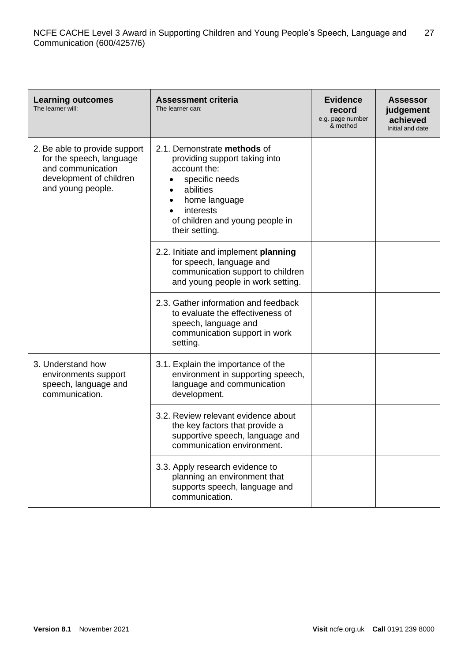| <b>Learning outcomes</b><br>The learner will:                                                                                  | <b>Assessment criteria</b><br>The learner can:                                                                                                                                                 | <b>Evidence</b><br>record<br>e.g. page number<br>& method | <b>Assessor</b><br>judgement<br>achieved<br>Initial and date |
|--------------------------------------------------------------------------------------------------------------------------------|------------------------------------------------------------------------------------------------------------------------------------------------------------------------------------------------|-----------------------------------------------------------|--------------------------------------------------------------|
| 2. Be able to provide support<br>for the speech, language<br>and communication<br>development of children<br>and young people. | 2.1. Demonstrate methods of<br>providing support taking into<br>account the:<br>specific needs<br>abilities<br>home language<br>interests<br>of children and young people in<br>their setting. |                                                           |                                                              |
|                                                                                                                                | 2.2. Initiate and implement planning<br>for speech, language and<br>communication support to children<br>and young people in work setting.                                                     |                                                           |                                                              |
|                                                                                                                                | 2.3. Gather information and feedback<br>to evaluate the effectiveness of<br>speech, language and<br>communication support in work<br>setting.                                                  |                                                           |                                                              |
| 3. Understand how<br>environments support<br>speech, language and<br>communication.                                            | 3.1. Explain the importance of the<br>environment in supporting speech,<br>language and communication<br>development.                                                                          |                                                           |                                                              |
|                                                                                                                                | 3.2. Review relevant evidence about<br>the key factors that provide a<br>supportive speech, language and<br>communication environment.                                                         |                                                           |                                                              |
|                                                                                                                                | 3.3. Apply research evidence to<br>planning an environment that<br>supports speech, language and<br>communication.                                                                             |                                                           |                                                              |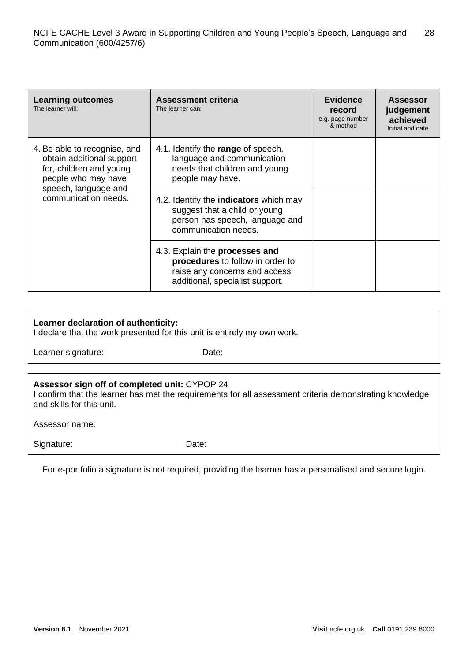| <b>Learning outcomes</b><br>The learner will:                                                                                                               | <b>Assessment criteria</b><br>The learner can:                                                                                            | <b>Evidence</b><br>record<br>e.g. page number<br>& method | <b>Assessor</b><br>judgement<br>achieved<br>Initial and date |
|-------------------------------------------------------------------------------------------------------------------------------------------------------------|-------------------------------------------------------------------------------------------------------------------------------------------|-----------------------------------------------------------|--------------------------------------------------------------|
| 4. Be able to recognise, and<br>obtain additional support<br>for, children and young<br>people who may have<br>speech, language and<br>communication needs. | 4.1. Identify the range of speech,<br>language and communication<br>needs that children and young<br>people may have.                     |                                                           |                                                              |
|                                                                                                                                                             | 4.2. Identify the <b>indicators</b> which may<br>suggest that a child or young<br>person has speech, language and<br>communication needs. |                                                           |                                                              |
|                                                                                                                                                             | 4.3. Explain the processes and<br>procedures to follow in order to<br>raise any concerns and access<br>additional, specialist support.    |                                                           |                                                              |

# **Learner declaration of authenticity:**

I declare that the work presented for this unit is entirely my own work.

Learner signature: Date:

| Assessor sign off of completed unit: CYPOP 24                                                                                        |  |
|--------------------------------------------------------------------------------------------------------------------------------------|--|
| I confirm that the learner has met the requirements for all assessment criteria demonstrating knowledge<br>and skills for this unit. |  |

Assessor name:

Signature: Date:

For e-portfolio a signature is not required, providing the learner has a personalised and secure login.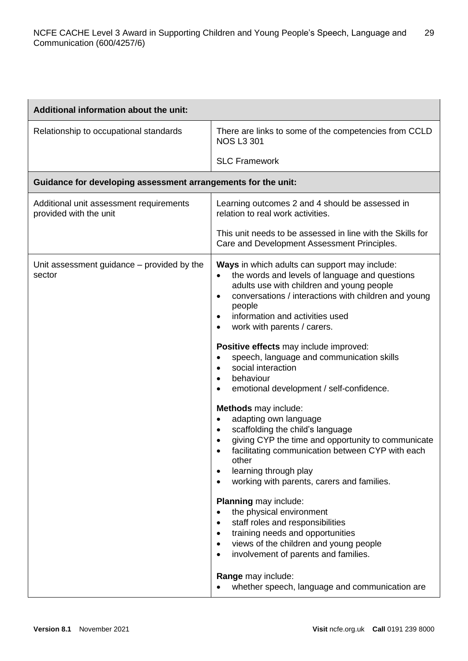| Additional information about the unit:                            |                                                                                                                                                                                                                                                                                                                                                                                                                                                                                                                                                                                                                                 |
|-------------------------------------------------------------------|---------------------------------------------------------------------------------------------------------------------------------------------------------------------------------------------------------------------------------------------------------------------------------------------------------------------------------------------------------------------------------------------------------------------------------------------------------------------------------------------------------------------------------------------------------------------------------------------------------------------------------|
| Relationship to occupational standards                            | There are links to some of the competencies from CCLD<br><b>NOS L3 301</b>                                                                                                                                                                                                                                                                                                                                                                                                                                                                                                                                                      |
|                                                                   | <b>SLC Framework</b>                                                                                                                                                                                                                                                                                                                                                                                                                                                                                                                                                                                                            |
| Guidance for developing assessment arrangements for the unit:     |                                                                                                                                                                                                                                                                                                                                                                                                                                                                                                                                                                                                                                 |
| Additional unit assessment requirements<br>provided with the unit | Learning outcomes 2 and 4 should be assessed in<br>relation to real work activities.                                                                                                                                                                                                                                                                                                                                                                                                                                                                                                                                            |
|                                                                   | This unit needs to be assessed in line with the Skills for<br>Care and Development Assessment Principles.                                                                                                                                                                                                                                                                                                                                                                                                                                                                                                                       |
| Unit assessment guidance - provided by the<br>sector              | Ways in which adults can support may include:<br>the words and levels of language and questions<br>$\bullet$<br>adults use with children and young people<br>conversations / interactions with children and young<br>$\bullet$<br>people<br>information and activities used<br>$\bullet$<br>work with parents / carers.<br>$\bullet$                                                                                                                                                                                                                                                                                            |
|                                                                   | Positive effects may include improved:<br>speech, language and communication skills<br>$\bullet$<br>social interaction<br>$\bullet$<br>behaviour<br>$\bullet$<br>emotional development / self-confidence.<br>$\bullet$                                                                                                                                                                                                                                                                                                                                                                                                          |
|                                                                   | <b>Methods</b> may include:<br>adapting own language<br>$\bullet$<br>scaffolding the child's language<br>$\bullet$<br>giving CYP the time and opportunity to communicate<br>facilitating communication between CYP with each<br>other<br>learning through play<br>$\bullet$<br>working with parents, carers and families.<br>$\bullet$<br>Planning may include:<br>the physical environment<br>staff roles and responsibilities<br>$\bullet$<br>training needs and opportunities<br>$\bullet$<br>views of the children and young people<br>$\bullet$<br>involvement of parents and families.<br>$\bullet$<br>Range may include: |
|                                                                   | whether speech, language and communication are                                                                                                                                                                                                                                                                                                                                                                                                                                                                                                                                                                                  |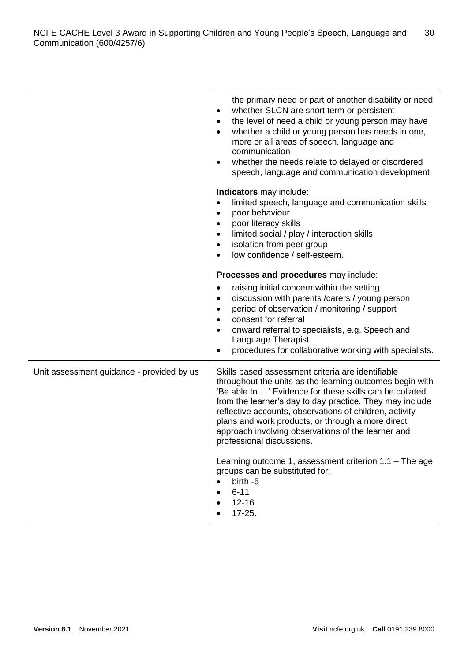|                                           | the primary need or part of another disability or need<br>whether SLCN are short term or persistent<br>$\bullet$<br>the level of need a child or young person may have<br>$\bullet$<br>whether a child or young person has needs in one,<br>more or all areas of speech, language and<br>communication<br>whether the needs relate to delayed or disordered<br>speech, language and communication development.                          |
|-------------------------------------------|-----------------------------------------------------------------------------------------------------------------------------------------------------------------------------------------------------------------------------------------------------------------------------------------------------------------------------------------------------------------------------------------------------------------------------------------|
|                                           | Indicators may include:<br>limited speech, language and communication skills<br>poor behaviour<br>poor literacy skills<br>limited social / play / interaction skills<br>isolation from peer group<br>low confidence / self-esteem.                                                                                                                                                                                                      |
|                                           | Processes and procedures may include:<br>raising initial concern within the setting<br>discussion with parents / carers / young person<br>period of observation / monitoring / support<br>consent for referral<br>onward referral to specialists, e.g. Speech and<br>Language Therapist<br>procedures for collaborative working with specialists.                                                                                       |
| Unit assessment guidance - provided by us | Skills based assessment criteria are identifiable<br>throughout the units as the learning outcomes begin with<br>'Be able to ' Evidence for these skills can be collated<br>from the learner's day to day practice. They may include<br>reflective accounts, observations of children, activity<br>plans and work products, or through a more direct<br>approach involving observations of the learner and<br>professional discussions. |
|                                           | Learning outcome 1, assessment criterion $1.1$ – The age<br>groups can be substituted for:<br>birth -5<br>$6 - 11$<br>$12 - 16$<br>$17 - 25.$                                                                                                                                                                                                                                                                                           |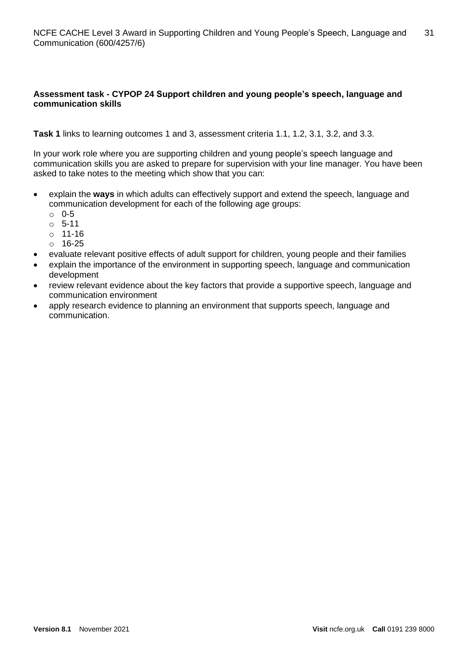# **Assessment task - CYPOP 24 Support children and young people's speech, language and communication skills**

**Task 1** links to learning outcomes 1 and 3, assessment criteria 1.1, 1.2, 3.1, 3.2, and 3.3.

In your work role where you are supporting children and young people's speech language and communication skills you are asked to prepare for supervision with your line manager. You have been asked to take notes to the meeting which show that you can:

- explain the **ways** in which adults can effectively support and extend the speech, language and communication development for each of the following age groups:
	- $\circ$  0-5
	- o 5-11
	- o 11-16
	- o 16-25
- evaluate relevant positive effects of adult support for children, young people and their families
- explain the importance of the environment in supporting speech, language and communication development
- review relevant evidence about the key factors that provide a supportive speech, language and communication environment
- apply research evidence to planning an environment that supports speech, language and communication.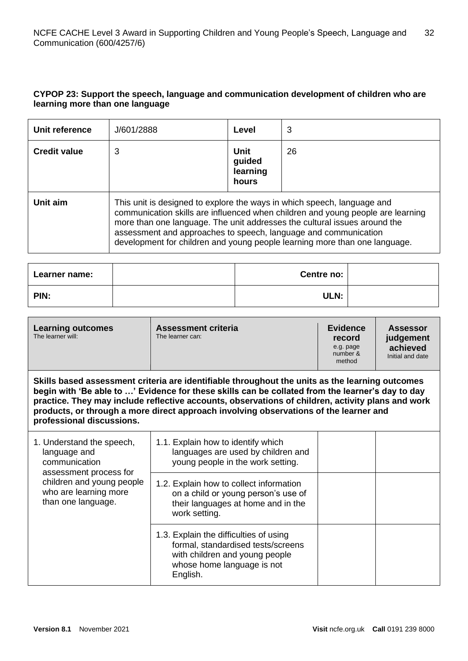# **CYPOP 23: Support the speech, language and communication development of children who are learning more than one language**

| Unit reference      | J/601/2888                                                                                                                                                                                                                                                                                                                                                                               | Level                               | 3  |
|---------------------|------------------------------------------------------------------------------------------------------------------------------------------------------------------------------------------------------------------------------------------------------------------------------------------------------------------------------------------------------------------------------------------|-------------------------------------|----|
| <b>Credit value</b> | 3                                                                                                                                                                                                                                                                                                                                                                                        | Unit<br>guided<br>learning<br>hours | 26 |
| Unit aim            | This unit is designed to explore the ways in which speech, language and<br>communication skills are influenced when children and young people are learning<br>more than one language. The unit addresses the cultural issues around the<br>assessment and approaches to speech, language and communication<br>development for children and young people learning more than one language. |                                     |    |

| Learner name: | Centre no: |  |
|---------------|------------|--|
| PIN:          | ULN:       |  |

| <b>Assessment criteria</b><br><b>Learning outcomes</b><br>The learner will:<br>The learner can: | <b>Evidence</b><br>record<br>e.g. page<br>number &<br>method | <b>Assessor</b><br>judgement<br>achieved<br>Initial and date |
|-------------------------------------------------------------------------------------------------|--------------------------------------------------------------|--------------------------------------------------------------|
|-------------------------------------------------------------------------------------------------|--------------------------------------------------------------|--------------------------------------------------------------|

**Skills based assessment criteria are identifiable throughout the units as the learning outcomes begin with 'Be able to …' Evidence for these skills can be collated from the learner's day to day practice. They may include reflective accounts, observations of children, activity plans and work products, or through a more direct approach involving observations of the learner and professional discussions.**

| 1. Understand the speech,<br>language and<br>communication<br>assessment process for<br>children and young people<br>who are learning more<br>than one language. | 1.1. Explain how to identify which<br>languages are used by children and<br>young people in the work setting.                                            |  |
|------------------------------------------------------------------------------------------------------------------------------------------------------------------|----------------------------------------------------------------------------------------------------------------------------------------------------------|--|
|                                                                                                                                                                  | 1.2. Explain how to collect information<br>on a child or young person's use of<br>their languages at home and in the<br>work setting.                    |  |
|                                                                                                                                                                  | 1.3. Explain the difficulties of using<br>formal, standardised tests/screens<br>with children and young people<br>whose home language is not<br>English. |  |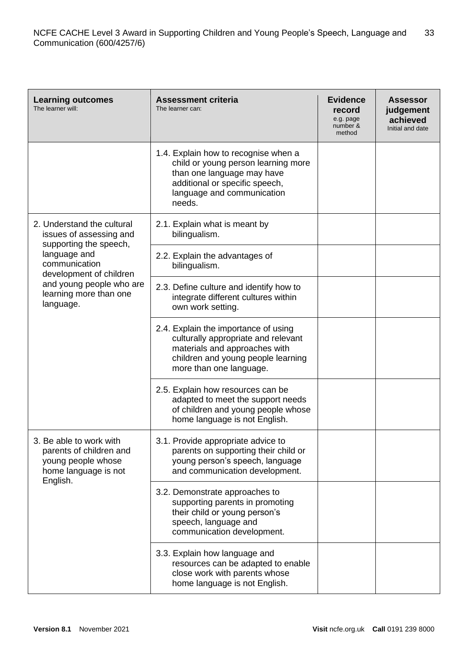| <b>Learning outcomes</b><br>The learner will:                                                                | <b>Assessment criteria</b><br>The learner can:                                                                                                                                      | <b>Evidence</b><br>record<br>e.g. page<br>number &<br>method | <b>Assessor</b><br>judgement<br>achieved<br>Initial and date |
|--------------------------------------------------------------------------------------------------------------|-------------------------------------------------------------------------------------------------------------------------------------------------------------------------------------|--------------------------------------------------------------|--------------------------------------------------------------|
|                                                                                                              | 1.4. Explain how to recognise when a<br>child or young person learning more<br>than one language may have<br>additional or specific speech,<br>language and communication<br>needs. |                                                              |                                                              |
| 2. Understand the cultural<br>issues of assessing and<br>supporting the speech,                              | 2.1. Explain what is meant by<br>bilingualism.                                                                                                                                      |                                                              |                                                              |
| language and<br>communication<br>development of children                                                     | 2.2. Explain the advantages of<br>bilingualism.                                                                                                                                     |                                                              |                                                              |
| and young people who are<br>learning more than one<br>language.                                              | 2.3. Define culture and identify how to<br>integrate different cultures within<br>own work setting.                                                                                 |                                                              |                                                              |
|                                                                                                              | 2.4. Explain the importance of using<br>culturally appropriate and relevant<br>materials and approaches with<br>children and young people learning<br>more than one language.       |                                                              |                                                              |
|                                                                                                              | 2.5. Explain how resources can be<br>adapted to meet the support needs<br>of children and young people whose<br>home language is not English.                                       |                                                              |                                                              |
| 3. Be able to work with<br>parents of children and<br>young people whose<br>home language is not<br>English. | 3.1. Provide appropriate advice to<br>parents on supporting their child or<br>young person's speech, language<br>and communication development.                                     |                                                              |                                                              |
|                                                                                                              | 3.2. Demonstrate approaches to<br>supporting parents in promoting<br>their child or young person's<br>speech, language and<br>communication development.                            |                                                              |                                                              |
|                                                                                                              | 3.3. Explain how language and<br>resources can be adapted to enable<br>close work with parents whose<br>home language is not English.                                               |                                                              |                                                              |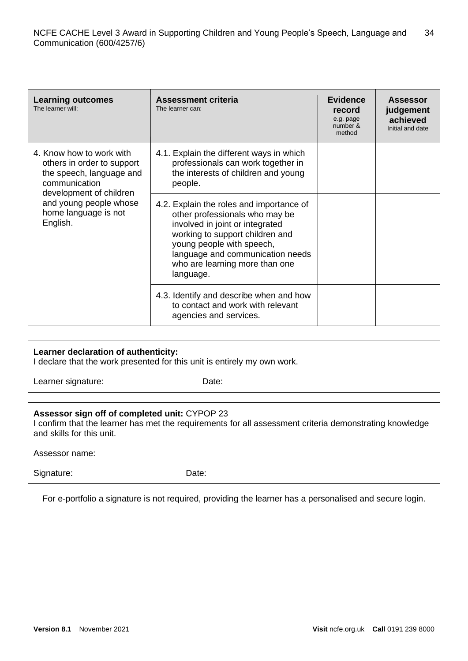| <b>Learning outcomes</b><br>The learner will:                                                       | <b>Assessment criteria</b><br>The learner can:                                                                                                                                                                                                                   | <b>Evidence</b><br>record<br>e.g. page<br>number &<br>method | <b>Assessor</b><br>judgement<br>achieved<br>Initial and date |
|-----------------------------------------------------------------------------------------------------|------------------------------------------------------------------------------------------------------------------------------------------------------------------------------------------------------------------------------------------------------------------|--------------------------------------------------------------|--------------------------------------------------------------|
| 4. Know how to work with<br>others in order to support<br>the speech, language and<br>communication | 4.1. Explain the different ways in which<br>professionals can work together in<br>the interests of children and young<br>people.                                                                                                                                 |                                                              |                                                              |
| development of children<br>and young people whose<br>home language is not<br>English.               | 4.2. Explain the roles and importance of<br>other professionals who may be<br>involved in joint or integrated<br>working to support children and<br>young people with speech,<br>language and communication needs<br>who are learning more than one<br>language. |                                                              |                                                              |
|                                                                                                     | 4.3. Identify and describe when and how<br>to contact and work with relevant<br>agencies and services.                                                                                                                                                           |                                                              |                                                              |

#### **Learner declaration of authenticity:**

I declare that the work presented for this unit is entirely my own work.

Learner signature: Date:

# **Assessor sign off of completed unit:** CYPOP 23

I confirm that the learner has met the requirements for all assessment criteria demonstrating knowledge and skills for this unit.

Assessor name:

Signature: Date:

For e-portfolio a signature is not required, providing the learner has a personalised and secure login.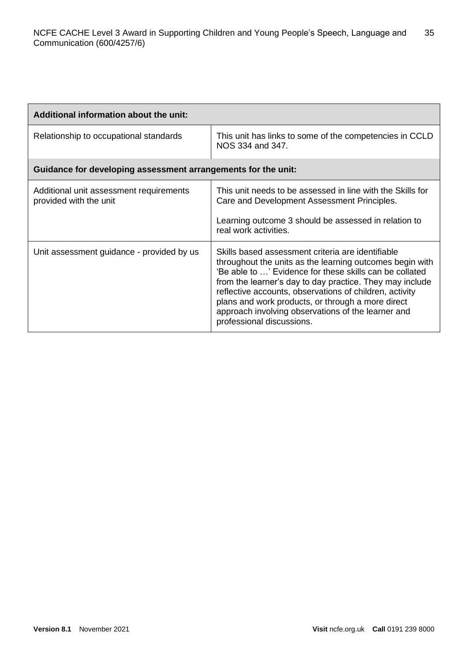| Additional information about the unit:                            |                                                                                                                                                                                                                                                                                                                                                                                                                                         |
|-------------------------------------------------------------------|-----------------------------------------------------------------------------------------------------------------------------------------------------------------------------------------------------------------------------------------------------------------------------------------------------------------------------------------------------------------------------------------------------------------------------------------|
| Relationship to occupational standards                            | This unit has links to some of the competencies in CCLD<br>NOS 334 and 347.                                                                                                                                                                                                                                                                                                                                                             |
| Guidance for developing assessment arrangements for the unit:     |                                                                                                                                                                                                                                                                                                                                                                                                                                         |
| Additional unit assessment requirements<br>provided with the unit | This unit needs to be assessed in line with the Skills for<br>Care and Development Assessment Principles.<br>Learning outcome 3 should be assessed in relation to<br>real work activities.                                                                                                                                                                                                                                              |
| Unit assessment guidance - provided by us                         | Skills based assessment criteria are identifiable<br>throughout the units as the learning outcomes begin with<br>'Be able to ' Evidence for these skills can be collated<br>from the learner's day to day practice. They may include<br>reflective accounts, observations of children, activity<br>plans and work products, or through a more direct<br>approach involving observations of the learner and<br>professional discussions. |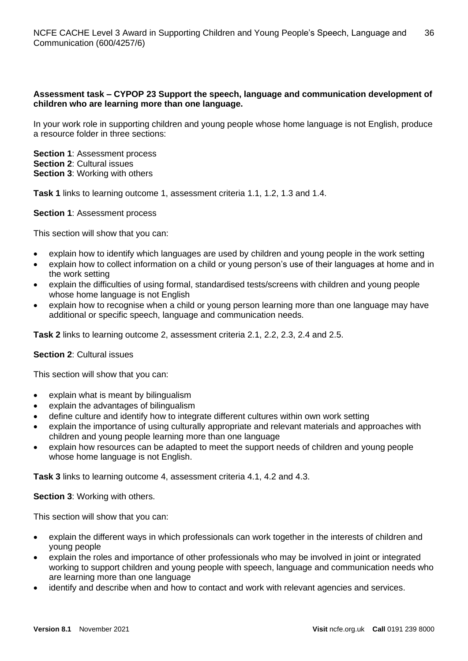# **Assessment task – CYPOP 23 Support the speech, language and communication development of children who are learning more than one language.**

In your work role in supporting children and young people whose home language is not English, produce a resource folder in three sections:

**Section 1**: Assessment process **Section 2**: Cultural issues **Section 3**: Working with others

**Task 1** links to learning outcome 1, assessment criteria 1.1, 1.2, 1.3 and 1.4.

#### **Section 1**: Assessment process

This section will show that you can:

- explain how to identify which languages are used by children and young people in the work setting
- explain how to collect information on a child or young person's use of their languages at home and in the work setting
- explain the difficulties of using formal, standardised tests/screens with children and young people whose home language is not English
- explain how to recognise when a child or young person learning more than one language may have additional or specific speech, language and communication needs.

**Task 2** links to learning outcome 2, assessment criteria 2.1, 2.2, 2.3, 2.4 and 2.5.

#### **Section 2**: Cultural issues

This section will show that you can:

- explain what is meant by bilingualism
- explain the advantages of bilingualism
- define culture and identify how to integrate different cultures within own work setting
- explain the importance of using culturally appropriate and relevant materials and approaches with children and young people learning more than one language
- explain how resources can be adapted to meet the support needs of children and young people whose home language is not English.

**Task 3** links to learning outcome 4, assessment criteria 4.1, 4.2 and 4.3.

**Section 3**: Working with others.

This section will show that you can:

- explain the different ways in which professionals can work together in the interests of children and young people
- explain the roles and importance of other professionals who may be involved in joint or integrated working to support children and young people with speech, language and communication needs who are learning more than one language
- identifv and describe when and how to contact and work with relevant agencies and services.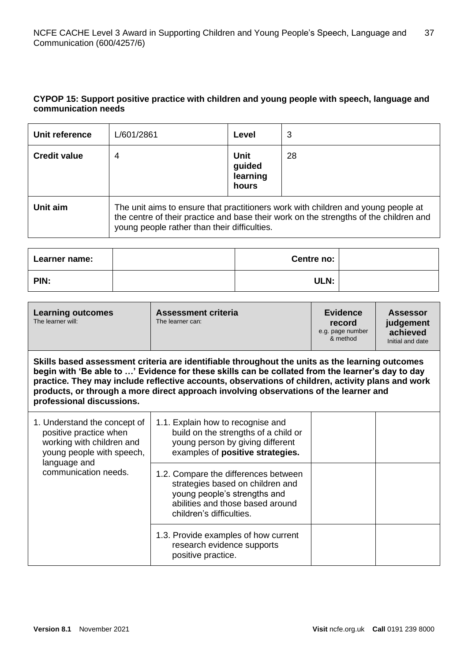# **CYPOP 15: Support positive practice with children and young people with speech, language and communication needs**

| Unit reference      | L/601/2861                                                                                                                                                                                                                 | Level                               | 3  |
|---------------------|----------------------------------------------------------------------------------------------------------------------------------------------------------------------------------------------------------------------------|-------------------------------------|----|
| <b>Credit value</b> | 4                                                                                                                                                                                                                          | Unit<br>guided<br>learning<br>hours | 28 |
| Unit aim            | The unit aims to ensure that practitioners work with children and young people at<br>the centre of their practice and base their work on the strengths of the children and<br>young people rather than their difficulties. |                                     |    |

| Learner name: | Centre no:  |  |
|---------------|-------------|--|
| PIN:          | <b>ULN:</b> |  |

| <b>Learning outcomes</b><br>The learner will:                                                                                                                                                                                                                                                                                                                                                                                  | Assessment criteria<br>The learner can:                                                                                                                                  | <b>Evidence</b><br>record<br>e.g. page number<br>& method | <b>Assessor</b><br>judgement<br>achieved<br>Initial and date |
|--------------------------------------------------------------------------------------------------------------------------------------------------------------------------------------------------------------------------------------------------------------------------------------------------------------------------------------------------------------------------------------------------------------------------------|--------------------------------------------------------------------------------------------------------------------------------------------------------------------------|-----------------------------------------------------------|--------------------------------------------------------------|
| Skills based assessment criteria are identifiable throughout the units as the learning outcomes<br>begin with 'Be able to ' Evidence for these skills can be collated from the learner's day to day<br>practice. They may include reflective accounts, observations of children, activity plans and work<br>products, or through a more direct approach involving observations of the learner and<br>professional discussions. |                                                                                                                                                                          |                                                           |                                                              |
| 1. Understand the concept of<br>positive practice when<br>working with children and<br>young people with speech,<br>language and<br>communication needs.                                                                                                                                                                                                                                                                       | 1.1. Explain how to recognise and<br>build on the strengths of a child or<br>young person by giving different<br>examples of positive strategies.                        |                                                           |                                                              |
|                                                                                                                                                                                                                                                                                                                                                                                                                                | 1.2. Compare the differences between<br>strategies based on children and<br>young people's strengths and<br>abilities and those based around<br>children's difficulties. |                                                           |                                                              |
|                                                                                                                                                                                                                                                                                                                                                                                                                                | 1.3. Provide examples of how current<br>research evidence supports<br>positive practice.                                                                                 |                                                           |                                                              |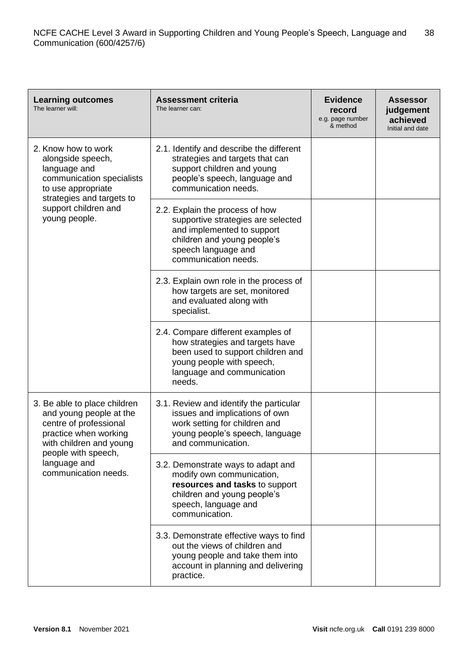| <b>Learning outcomes</b><br>The learner will:                                                                                                                | <b>Assessment criteria</b><br>The learner can:                                                                                                                                    | <b>Evidence</b><br>record<br>e.g. page number<br>& method | <b>Assessor</b><br>judgement<br>achieved<br>Initial and date |
|--------------------------------------------------------------------------------------------------------------------------------------------------------------|-----------------------------------------------------------------------------------------------------------------------------------------------------------------------------------|-----------------------------------------------------------|--------------------------------------------------------------|
| 2. Know how to work<br>alongside speech,<br>language and<br>communication specialists<br>to use appropriate                                                  | 2.1. Identify and describe the different<br>strategies and targets that can<br>support children and young<br>people's speech, language and<br>communication needs.                |                                                           |                                                              |
| strategies and targets to<br>support children and<br>young people.                                                                                           | 2.2. Explain the process of how<br>supportive strategies are selected<br>and implemented to support<br>children and young people's<br>speech language and<br>communication needs. |                                                           |                                                              |
|                                                                                                                                                              | 2.3. Explain own role in the process of<br>how targets are set, monitored<br>and evaluated along with<br>specialist.                                                              |                                                           |                                                              |
|                                                                                                                                                              | 2.4. Compare different examples of<br>how strategies and targets have<br>been used to support children and<br>young people with speech,<br>language and communication<br>needs.   |                                                           |                                                              |
| 3. Be able to place children<br>and young people at the<br>centre of professional<br>practice when working<br>with children and young<br>people with speech, | 3.1. Review and identify the particular<br>issues and implications of own<br>work setting for children and<br>young people's speech, language<br>and communication.               |                                                           |                                                              |
| language and<br>communication needs.                                                                                                                         | 3.2. Demonstrate ways to adapt and<br>modify own communication,<br>resources and tasks to support<br>children and young people's<br>speech, language and<br>communication.        |                                                           |                                                              |
|                                                                                                                                                              | 3.3. Demonstrate effective ways to find<br>out the views of children and<br>young people and take them into<br>account in planning and delivering<br>practice.                    |                                                           |                                                              |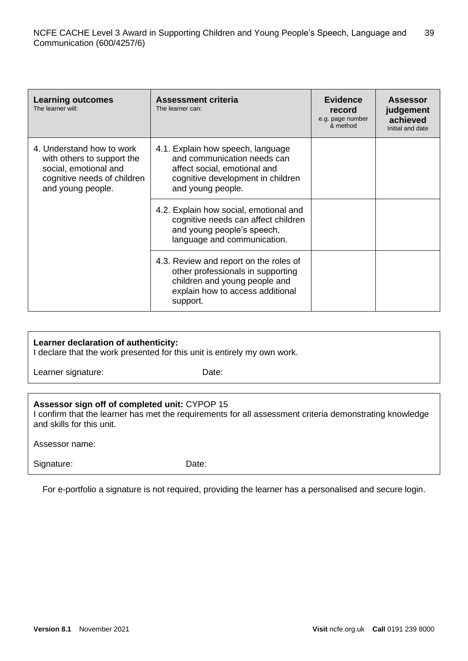| <b>Learning outcomes</b><br>The learner will:                                                                                        | <b>Assessment criteria</b><br>The learner can:                                                                                                               | <b>Evidence</b><br>record<br>e.g. page number<br>& method | <b>Assessor</b><br>judgement<br>achieved<br>Initial and date |
|--------------------------------------------------------------------------------------------------------------------------------------|--------------------------------------------------------------------------------------------------------------------------------------------------------------|-----------------------------------------------------------|--------------------------------------------------------------|
| 4. Understand how to work<br>with others to support the<br>social, emotional and<br>cognitive needs of children<br>and young people. | 4.1. Explain how speech, language<br>and communication needs can<br>affect social, emotional and<br>cognitive development in children<br>and young people.   |                                                           |                                                              |
|                                                                                                                                      | 4.2. Explain how social, emotional and<br>cognitive needs can affect children<br>and young people's speech,<br>language and communication.                   |                                                           |                                                              |
|                                                                                                                                      | 4.3. Review and report on the roles of<br>other professionals in supporting<br>children and young people and<br>explain how to access additional<br>support. |                                                           |                                                              |

#### **Learner declaration of authenticity:**

I declare that the work presented for this unit is entirely my own work.

Learner signature: Date:

# **Assessor sign off of completed unit:** CYPOP 15

I confirm that the learner has met the requirements for all assessment criteria demonstrating knowledge and skills for this unit.

Assessor name:

Signature: Date:

For e-portfolio a signature is not required, providing the learner has a personalised and secure login.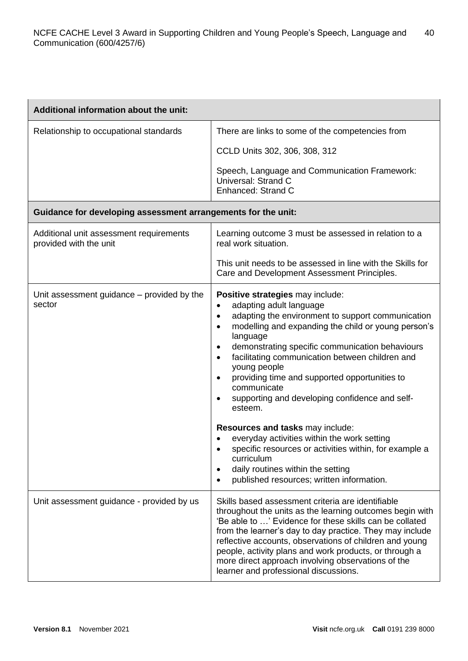| Additional information about the unit:                            |                                                                                                                                                                                                                                                                                                                                                                                                                                                                                                                                                                                                                                                                                                                                                                                                          |
|-------------------------------------------------------------------|----------------------------------------------------------------------------------------------------------------------------------------------------------------------------------------------------------------------------------------------------------------------------------------------------------------------------------------------------------------------------------------------------------------------------------------------------------------------------------------------------------------------------------------------------------------------------------------------------------------------------------------------------------------------------------------------------------------------------------------------------------------------------------------------------------|
| Relationship to occupational standards                            | There are links to some of the competencies from                                                                                                                                                                                                                                                                                                                                                                                                                                                                                                                                                                                                                                                                                                                                                         |
|                                                                   | CCLD Units 302, 306, 308, 312                                                                                                                                                                                                                                                                                                                                                                                                                                                                                                                                                                                                                                                                                                                                                                            |
|                                                                   | Speech, Language and Communication Framework:<br>Universal: Strand C<br>Enhanced: Strand C                                                                                                                                                                                                                                                                                                                                                                                                                                                                                                                                                                                                                                                                                                               |
| Guidance for developing assessment arrangements for the unit:     |                                                                                                                                                                                                                                                                                                                                                                                                                                                                                                                                                                                                                                                                                                                                                                                                          |
| Additional unit assessment requirements<br>provided with the unit | Learning outcome 3 must be assessed in relation to a<br>real work situation.                                                                                                                                                                                                                                                                                                                                                                                                                                                                                                                                                                                                                                                                                                                             |
|                                                                   | This unit needs to be assessed in line with the Skills for<br>Care and Development Assessment Principles.                                                                                                                                                                                                                                                                                                                                                                                                                                                                                                                                                                                                                                                                                                |
| Unit assessment guidance – provided by the<br>sector              | Positive strategies may include:<br>adapting adult language<br>$\bullet$<br>adapting the environment to support communication<br>$\bullet$<br>modelling and expanding the child or young person's<br>$\bullet$<br>language<br>demonstrating specific communication behaviours<br>$\bullet$<br>facilitating communication between children and<br>$\bullet$<br>young people<br>providing time and supported opportunities to<br>$\bullet$<br>communicate<br>supporting and developing confidence and self-<br>$\bullet$<br>esteem.<br>Resources and tasks may include:<br>everyday activities within the work setting<br>specific resources or activities within, for example a<br>curriculum<br>daily routines within the setting<br>$\bullet$<br>published resources; written information.<br>$\bullet$ |
| Unit assessment guidance - provided by us                         | Skills based assessment criteria are identifiable<br>throughout the units as the learning outcomes begin with<br>'Be able to ' Evidence for these skills can be collated<br>from the learner's day to day practice. They may include<br>reflective accounts, observations of children and young<br>people, activity plans and work products, or through a<br>more direct approach involving observations of the<br>learner and professional discussions.                                                                                                                                                                                                                                                                                                                                                 |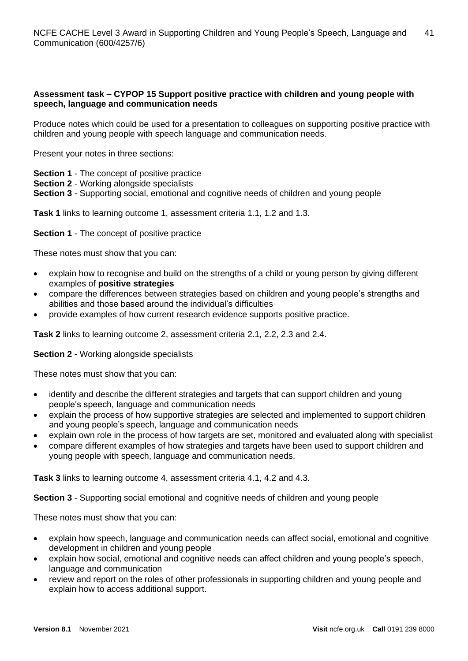# **Assessment task – CYPOP 15 Support positive practice with children and young people with speech, language and communication needs**

Produce notes which could be used for a presentation to colleagues on supporting positive practice with children and young people with speech language and communication needs.

Present your notes in three sections:

- **Section 1** The concept of positive practice
- **Section 2** Working alongside specialists
- **Section 3** Supporting social, emotional and cognitive needs of children and young people

**Task 1** links to learning outcome 1, assessment criteria 1.1, 1.2 and 1.3.

**Section 1** - The concept of positive practice

These notes must show that you can:

- explain how to recognise and build on the strengths of a child or young person by giving different examples of **positive strategies**
- compare the differences between strategies based on children and young people's strengths and abilities and those based around the individual's difficulties
- provide examples of how current research evidence supports positive practice.

**Task 2** links to learning outcome 2, assessment criteria 2.1, 2.2, 2.3 and 2.4.

#### **Section 2** - Working alongside specialists

These notes must show that you can:

- identify and describe the different strategies and targets that can support children and young people's speech, language and communication needs
- explain the process of how supportive strategies are selected and implemented to support children and young people's speech, language and communication needs
- explain own role in the process of how targets are set, monitored and evaluated along with specialist
- compare different examples of how strategies and targets have been used to support children and young people with speech, language and communication needs.

**Task 3** links to learning outcome 4, assessment criteria 4.1, 4.2 and 4.3.

**Section 3** - Supporting social emotional and cognitive needs of children and young people

These notes must show that you can:

- explain how speech, language and communication needs can affect social, emotional and cognitive development in children and young people
- explain how social, emotional and cognitive needs can affect children and young people's speech, language and communication
- review and report on the roles of other professionals in supporting children and young people and explain how to access additional support.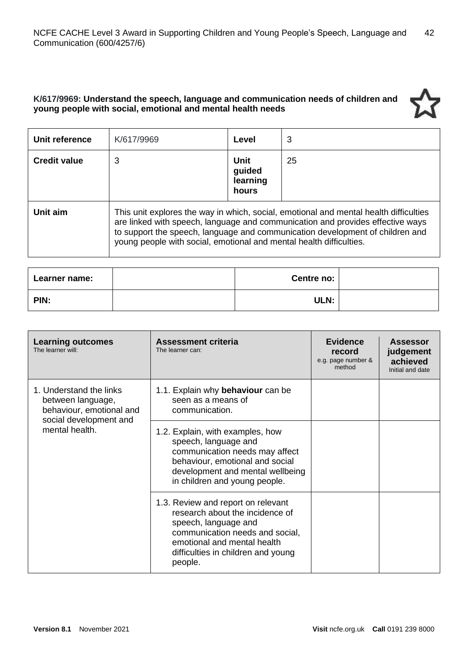# **K/617/9969: Understand the speech, language and communication needs of children and young people with social, emotional and mental health needs**

| Unit reference      | K/617/9969                                                          | Level                               | 3                                                                                                                                                                                                                                                        |
|---------------------|---------------------------------------------------------------------|-------------------------------------|----------------------------------------------------------------------------------------------------------------------------------------------------------------------------------------------------------------------------------------------------------|
| <b>Credit value</b> | 3                                                                   | Unit<br>guided<br>learning<br>hours | 25                                                                                                                                                                                                                                                       |
| Unit aim            | young people with social, emotional and mental health difficulties. |                                     | This unit explores the way in which, social, emotional and mental health difficulties<br>are linked with speech, language and communication and provides effective ways<br>to support the speech, language and communication development of children and |

| Learner name: | Centre no: |  |
|---------------|------------|--|
| PIN:          | ULN:       |  |

| <b>Learning outcomes</b><br>The learner will:                            | <b>Assessment criteria</b><br>The learner can:                                                                                                                                                                   | <b>Evidence</b><br>record<br>e.g. page number &<br>method | <b>Assessor</b><br>judgement<br>achieved<br>Initial and date |
|--------------------------------------------------------------------------|------------------------------------------------------------------------------------------------------------------------------------------------------------------------------------------------------------------|-----------------------------------------------------------|--------------------------------------------------------------|
| 1. Understand the links<br>between language,<br>behaviour, emotional and | 1.1. Explain why behaviour can be<br>seen as a means of<br>communication.                                                                                                                                        |                                                           |                                                              |
| social development and<br>mental health.                                 | 1.2. Explain, with examples, how<br>speech, language and<br>communication needs may affect<br>behaviour, emotional and social<br>development and mental wellbeing<br>in children and young people.               |                                                           |                                                              |
|                                                                          | 1.3. Review and report on relevant<br>research about the incidence of<br>speech, language and<br>communication needs and social,<br>emotional and mental health<br>difficulties in children and young<br>people. |                                                           |                                                              |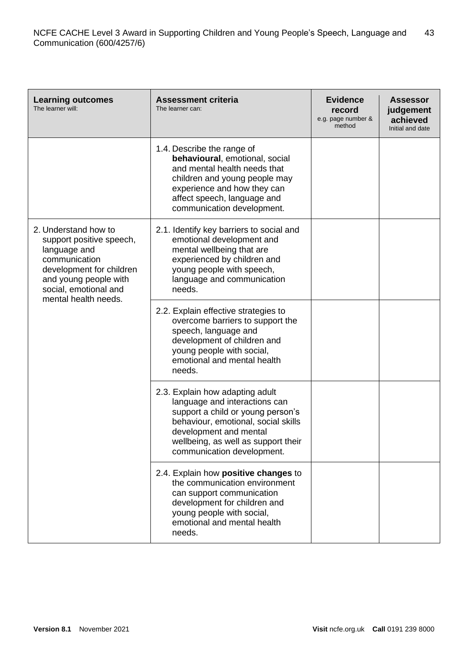| <b>Learning outcomes</b><br>The learner will:                                                                                                                                           | <b>Assessment criteria</b><br>The learner can:                                                                                                                                                                                              | <b>Evidence</b><br>record<br>e.g. page number &<br>method | <b>Assessor</b><br>judgement<br>achieved<br>Initial and date |
|-----------------------------------------------------------------------------------------------------------------------------------------------------------------------------------------|---------------------------------------------------------------------------------------------------------------------------------------------------------------------------------------------------------------------------------------------|-----------------------------------------------------------|--------------------------------------------------------------|
|                                                                                                                                                                                         | 1.4. Describe the range of<br>behavioural, emotional, social<br>and mental health needs that<br>children and young people may<br>experience and how they can<br>affect speech, language and<br>communication development.                   |                                                           |                                                              |
| 2. Understand how to<br>support positive speech,<br>language and<br>communication<br>development for children<br>and young people with<br>social, emotional and<br>mental health needs. | 2.1. Identify key barriers to social and<br>emotional development and<br>mental wellbeing that are<br>experienced by children and<br>young people with speech,<br>language and communication<br>needs.                                      |                                                           |                                                              |
|                                                                                                                                                                                         | 2.2. Explain effective strategies to<br>overcome barriers to support the<br>speech, language and<br>development of children and<br>young people with social,<br>emotional and mental health<br>needs.                                       |                                                           |                                                              |
|                                                                                                                                                                                         | 2.3. Explain how adapting adult<br>language and interactions can<br>support a child or young person's<br>behaviour, emotional, social skills<br>development and mental<br>wellbeing, as well as support their<br>communication development. |                                                           |                                                              |
|                                                                                                                                                                                         | 2.4. Explain how positive changes to<br>the communication environment<br>can support communication<br>development for children and<br>young people with social,<br>emotional and mental health<br>needs.                                    |                                                           |                                                              |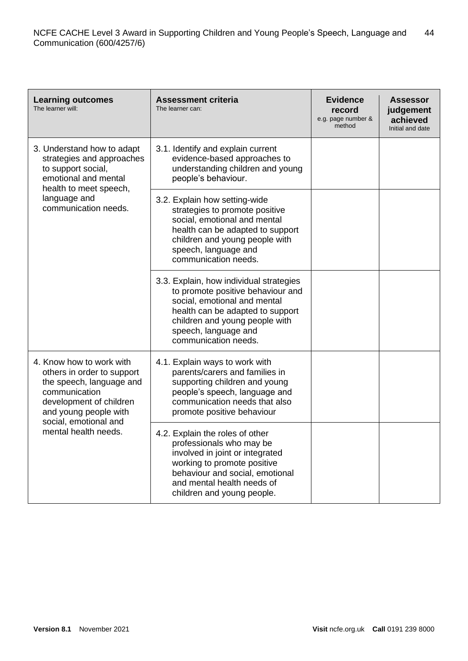| <b>Learning outcomes</b><br>The learner will:                                                                                                                                    | <b>Assessment criteria</b><br>The learner can:                                                                                                                                                                                     | <b>Evidence</b><br>record<br>e.g. page number &<br>method | <b>Assessor</b><br>judgement<br>achieved<br>Initial and date |
|----------------------------------------------------------------------------------------------------------------------------------------------------------------------------------|------------------------------------------------------------------------------------------------------------------------------------------------------------------------------------------------------------------------------------|-----------------------------------------------------------|--------------------------------------------------------------|
| 3. Understand how to adapt<br>strategies and approaches<br>to support social,<br>emotional and mental<br>health to meet speech,                                                  | 3.1. Identify and explain current<br>evidence-based approaches to<br>understanding children and young<br>people's behaviour.                                                                                                       |                                                           |                                                              |
| language and<br>communication needs.                                                                                                                                             | 3.2. Explain how setting-wide<br>strategies to promote positive<br>social, emotional and mental<br>health can be adapted to support<br>children and young people with<br>speech, language and<br>communication needs.              |                                                           |                                                              |
|                                                                                                                                                                                  | 3.3. Explain, how individual strategies<br>to promote positive behaviour and<br>social, emotional and mental<br>health can be adapted to support<br>children and young people with<br>speech, language and<br>communication needs. |                                                           |                                                              |
| 4. Know how to work with<br>others in order to support<br>the speech, language and<br>communication<br>development of children<br>and young people with<br>social, emotional and | 4.1. Explain ways to work with<br>parents/carers and families in<br>supporting children and young<br>people's speech, language and<br>communication needs that also<br>promote positive behaviour                                  |                                                           |                                                              |
| mental health needs.                                                                                                                                                             | 4.2. Explain the roles of other<br>professionals who may be<br>involved in joint or integrated<br>working to promote positive<br>behaviour and social, emotional<br>and mental health needs of<br>children and young people.       |                                                           |                                                              |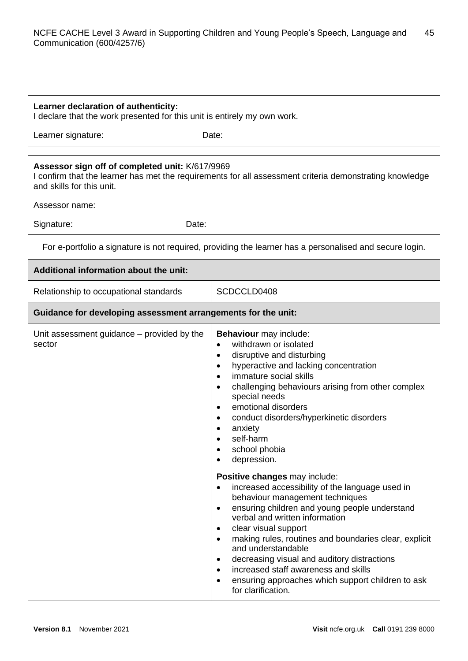#### **Learner declaration of authenticity:**

I declare that the work presented for this unit is entirely my own work.

Learner signature: Date:

# **Assessor sign off of completed unit:** K/617/9969

I confirm that the learner has met the requirements for all assessment criteria demonstrating knowledge and skills for this unit.

Assessor name:

Signature: Date:

For e-portfolio a signature is not required, providing the learner has a personalised and secure login.

| Additional information about the unit:                        |                                                                                                                                                                                                                                                                                                                                                                                                                                                                                                                                                                                                                                                                                                                                                                                                                                                                                                                                                                                                                                                                               |
|---------------------------------------------------------------|-------------------------------------------------------------------------------------------------------------------------------------------------------------------------------------------------------------------------------------------------------------------------------------------------------------------------------------------------------------------------------------------------------------------------------------------------------------------------------------------------------------------------------------------------------------------------------------------------------------------------------------------------------------------------------------------------------------------------------------------------------------------------------------------------------------------------------------------------------------------------------------------------------------------------------------------------------------------------------------------------------------------------------------------------------------------------------|
| Relationship to occupational standards                        | SCDCCLD0408                                                                                                                                                                                                                                                                                                                                                                                                                                                                                                                                                                                                                                                                                                                                                                                                                                                                                                                                                                                                                                                                   |
| Guidance for developing assessment arrangements for the unit: |                                                                                                                                                                                                                                                                                                                                                                                                                                                                                                                                                                                                                                                                                                                                                                                                                                                                                                                                                                                                                                                                               |
| Unit assessment guidance – provided by the<br>sector          | Behaviour may include:<br>withdrawn or isolated<br>$\bullet$<br>disruptive and disturbing<br>$\bullet$<br>hyperactive and lacking concentration<br>$\bullet$<br>immature social skills<br>$\bullet$<br>challenging behaviours arising from other complex<br>$\bullet$<br>special needs<br>emotional disorders<br>$\bullet$<br>conduct disorders/hyperkinetic disorders<br>$\bullet$<br>anxiety<br>$\bullet$<br>self-harm<br>$\bullet$<br>school phobia<br>$\bullet$<br>depression.<br>$\bullet$<br>Positive changes may include:<br>increased accessibility of the language used in<br>$\bullet$<br>behaviour management techniques<br>ensuring children and young people understand<br>$\bullet$<br>verbal and written information<br>clear visual support<br>$\bullet$<br>making rules, routines and boundaries clear, explicit<br>$\bullet$<br>and understandable<br>decreasing visual and auditory distractions<br>$\bullet$<br>increased staff awareness and skills<br>$\bullet$<br>ensuring approaches which support children to ask<br>$\bullet$<br>for clarification. |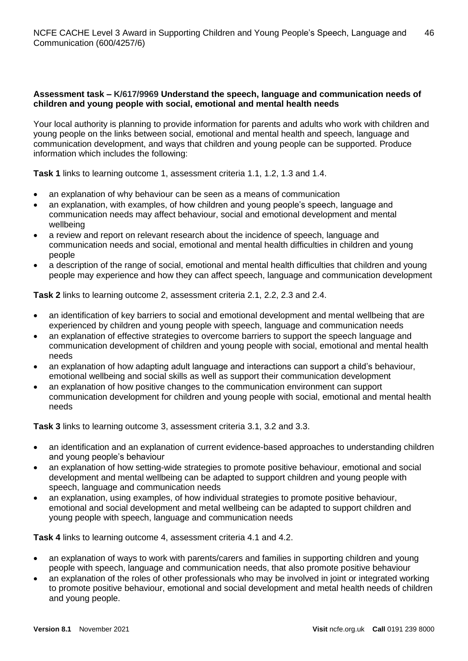# **Assessment task – K/617/9969 Understand the speech, language and communication needs of children and young people with social, emotional and mental health needs**

Your local authority is planning to provide information for parents and adults who work with children and young people on the links between social, emotional and mental health and speech, language and communication development, and ways that children and young people can be supported. Produce information which includes the following:

**Task 1** links to learning outcome 1, assessment criteria 1.1, 1.2, 1.3 and 1.4.

- an explanation of why behaviour can be seen as a means of communication
- an explanation, with examples, of how children and young people's speech, language and communication needs may affect behaviour, social and emotional development and mental wellbeing
- a review and report on relevant research about the incidence of speech, language and communication needs and social, emotional and mental health difficulties in children and young people
- a description of the range of social, emotional and mental health difficulties that children and young people may experience and how they can affect speech, language and communication development

**Task 2** links to learning outcome 2, assessment criteria 2.1, 2.2, 2.3 and 2.4.

- an identification of key barriers to social and emotional development and mental wellbeing that are experienced by children and young people with speech, language and communication needs
- an explanation of effective strategies to overcome barriers to support the speech language and communication development of children and young people with social, emotional and mental health needs
- an explanation of how adapting adult language and interactions can support a child's behaviour, emotional wellbeing and social skills as well as support their communication development
- an explanation of how positive changes to the communication environment can support communication development for children and young people with social, emotional and mental health needs

**Task 3** links to learning outcome 3, assessment criteria 3.1, 3.2 and 3.3.

- an identification and an explanation of current evidence-based approaches to understanding children and young people's behaviour
- an explanation of how setting-wide strategies to promote positive behaviour, emotional and social development and mental wellbeing can be adapted to support children and young people with speech, language and communication needs
- an explanation, using examples, of how individual strategies to promote positive behaviour, emotional and social development and metal wellbeing can be adapted to support children and young people with speech, language and communication needs

**Task 4** links to learning outcome 4, assessment criteria 4.1 and 4.2.

- an explanation of ways to work with parents/carers and families in supporting children and young people with speech, language and communication needs, that also promote positive behaviour
- an explanation of the roles of other professionals who may be involved in joint or integrated working to promote positive behaviour, emotional and social development and metal health needs of children and young people.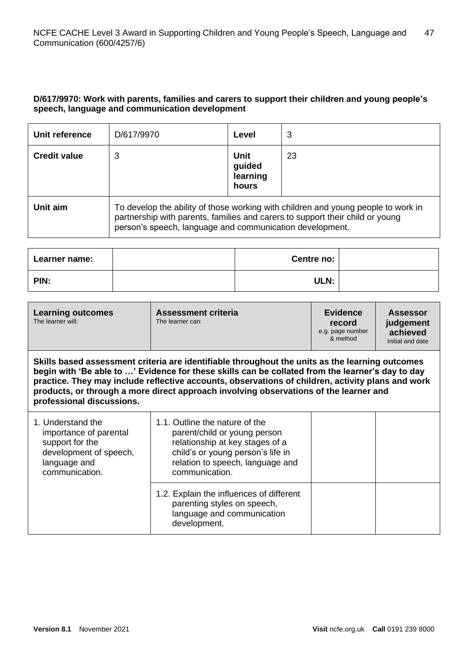# **D/617/9970: Work with parents, families and carers to support their children and young people's speech, language and communication development**

| Unit reference      | D/617/9970                                                                                                                                                                                                                     | Level                               | 3  |
|---------------------|--------------------------------------------------------------------------------------------------------------------------------------------------------------------------------------------------------------------------------|-------------------------------------|----|
| <b>Credit value</b> | 3                                                                                                                                                                                                                              | Unit<br>guided<br>learning<br>hours | 23 |
| Unit aim            | To develop the ability of those working with children and young people to work in<br>partnership with parents, families and carers to support their child or young<br>person's speech, language and communication development. |                                     |    |

| Learner name: | Centre no:  |  |
|---------------|-------------|--|
| PIN:          | <b>ULN:</b> |  |

| <b>Learning outcomes</b><br>The learner will:                                                                                                                                                                                                                                                                                                                                                                                  | <b>Assessment criteria</b><br>The learner can:                                                                                                                                               | <b>Evidence</b><br>record<br>e.g. page number<br>& method | Assessor<br>judgement<br>achieved<br>Initial and date |
|--------------------------------------------------------------------------------------------------------------------------------------------------------------------------------------------------------------------------------------------------------------------------------------------------------------------------------------------------------------------------------------------------------------------------------|----------------------------------------------------------------------------------------------------------------------------------------------------------------------------------------------|-----------------------------------------------------------|-------------------------------------------------------|
| Skills based assessment criteria are identifiable throughout the units as the learning outcomes<br>begin with 'Be able to ' Evidence for these skills can be collated from the learner's day to day<br>practice. They may include reflective accounts, observations of children, activity plans and work<br>products, or through a more direct approach involving observations of the learner and<br>professional discussions. |                                                                                                                                                                                              |                                                           |                                                       |
| 1. Understand the<br>importance of parental<br>support for the<br>development of speech,<br>language and<br>communication.                                                                                                                                                                                                                                                                                                     | 1.1. Outline the nature of the<br>parent/child or young person<br>relationship at key stages of a<br>child's or young person's life in<br>relation to speech, language and<br>communication. |                                                           |                                                       |
|                                                                                                                                                                                                                                                                                                                                                                                                                                | 1.2. Explain the influences of different<br>parenting styles on speech,<br>language and communication<br>development.                                                                        |                                                           |                                                       |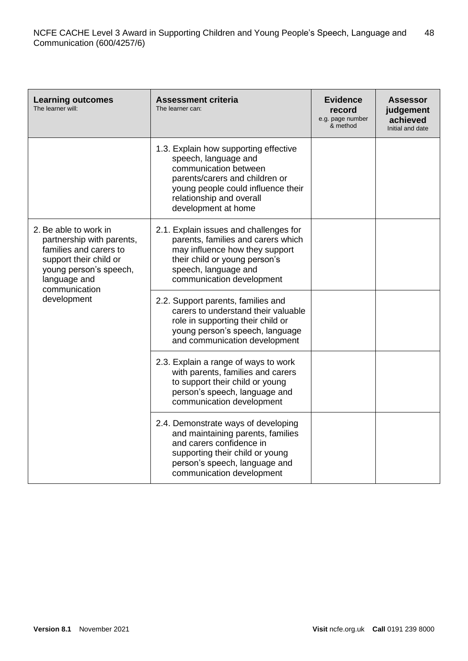| <b>Learning outcomes</b><br>The learner will:                                                                                                                                    | <b>Assessment criteria</b><br>The learner can:                                                                                                                                                                    | <b>Evidence</b><br>record<br>e.g. page number<br>& method | <b>Assessor</b><br>judgement<br>achieved<br>Initial and date |
|----------------------------------------------------------------------------------------------------------------------------------------------------------------------------------|-------------------------------------------------------------------------------------------------------------------------------------------------------------------------------------------------------------------|-----------------------------------------------------------|--------------------------------------------------------------|
|                                                                                                                                                                                  | 1.3. Explain how supporting effective<br>speech, language and<br>communication between<br>parents/carers and children or<br>young people could influence their<br>relationship and overall<br>development at home |                                                           |                                                              |
| 2. Be able to work in<br>partnership with parents,<br>families and carers to<br>support their child or<br>young person's speech,<br>language and<br>communication<br>development | 2.1. Explain issues and challenges for<br>parents, families and carers which<br>may influence how they support<br>their child or young person's<br>speech, language and<br>communication development              |                                                           |                                                              |
|                                                                                                                                                                                  | 2.2. Support parents, families and<br>carers to understand their valuable<br>role in supporting their child or<br>young person's speech, language<br>and communication development                                |                                                           |                                                              |
|                                                                                                                                                                                  | 2.3. Explain a range of ways to work<br>with parents, families and carers<br>to support their child or young<br>person's speech, language and<br>communication development                                        |                                                           |                                                              |
|                                                                                                                                                                                  | 2.4. Demonstrate ways of developing<br>and maintaining parents, families<br>and carers confidence in<br>supporting their child or young<br>person's speech, language and<br>communication development             |                                                           |                                                              |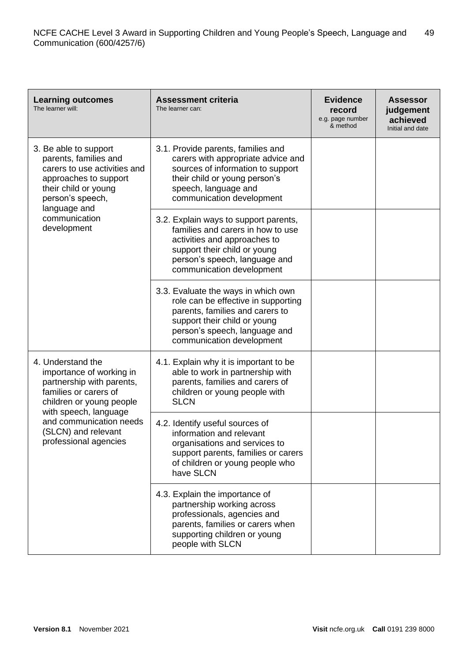| <b>Learning outcomes</b><br>The learner will:                                                                                                                                                                                       | <b>Assessment criteria</b><br>The learner can:                                                                                                                                                              | <b>Evidence</b><br>record<br>e.g. page number<br>& method | <b>Assessor</b><br>judgement<br>achieved<br>Initial and date |
|-------------------------------------------------------------------------------------------------------------------------------------------------------------------------------------------------------------------------------------|-------------------------------------------------------------------------------------------------------------------------------------------------------------------------------------------------------------|-----------------------------------------------------------|--------------------------------------------------------------|
| 3. Be able to support<br>parents, families and<br>carers to use activities and<br>approaches to support<br>their child or young<br>person's speech,<br>language and<br>communication<br>development                                 | 3.1. Provide parents, families and<br>carers with appropriate advice and<br>sources of information to support<br>their child or young person's<br>speech, language and<br>communication development         |                                                           |                                                              |
|                                                                                                                                                                                                                                     | 3.2. Explain ways to support parents,<br>families and carers in how to use<br>activities and approaches to<br>support their child or young<br>person's speech, language and<br>communication development    |                                                           |                                                              |
|                                                                                                                                                                                                                                     | 3.3. Evaluate the ways in which own<br>role can be effective in supporting<br>parents, families and carers to<br>support their child or young<br>person's speech, language and<br>communication development |                                                           |                                                              |
| 4. Understand the<br>importance of working in<br>partnership with parents,<br>families or carers of<br>children or young people<br>with speech, language<br>and communication needs<br>(SLCN) and relevant<br>professional agencies | 4.1. Explain why it is important to be<br>able to work in partnership with<br>parents, families and carers of<br>children or young people with<br><b>SLCN</b>                                               |                                                           |                                                              |
|                                                                                                                                                                                                                                     | 4.2. Identify useful sources of<br>information and relevant<br>organisations and services to<br>support parents, families or carers<br>of children or young people who<br>have SLCN                         |                                                           |                                                              |
|                                                                                                                                                                                                                                     | 4.3. Explain the importance of<br>partnership working across<br>professionals, agencies and<br>parents, families or carers when<br>supporting children or young<br>people with SLCN                         |                                                           |                                                              |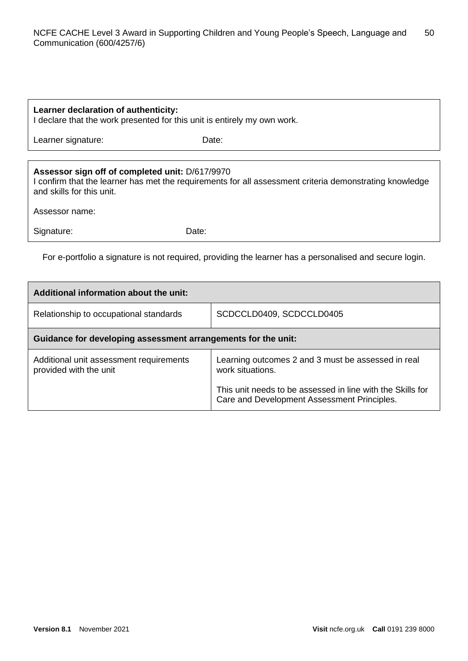# **Learner declaration of authenticity:**

I declare that the work presented for this unit is entirely my own work.

Learner signature: Date:

# **Assessor sign off of completed unit:** D/617/9970

I confirm that the learner has met the requirements for all assessment criteria demonstrating knowledge and skills for this unit.

Assessor name:

Signature: Date:

For e-portfolio a signature is not required, providing the learner has a personalised and secure login.

| Additional information about the unit:                            |                                                                                                                                                                                     |  |  |
|-------------------------------------------------------------------|-------------------------------------------------------------------------------------------------------------------------------------------------------------------------------------|--|--|
| Relationship to occupational standards                            | SCDCCLD0409, SCDCCLD0405                                                                                                                                                            |  |  |
| Guidance for developing assessment arrangements for the unit:     |                                                                                                                                                                                     |  |  |
| Additional unit assessment requirements<br>provided with the unit | Learning outcomes 2 and 3 must be assessed in real<br>work situations.<br>This unit needs to be assessed in line with the Skills for<br>Care and Development Assessment Principles. |  |  |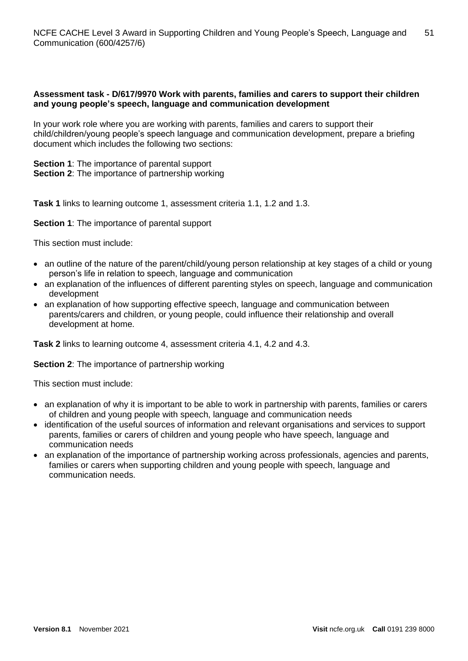# **Assessment task - D/617/9970 Work with parents, families and carers to support their children and young people's speech, language and communication development**

In your work role where you are working with parents, families and carers to support their child/children/young people's speech language and communication development, prepare a briefing document which includes the following two sections:

**Section 1**: The importance of parental support **Section 2:** The importance of partnership working

**Task 1** links to learning outcome 1, assessment criteria 1.1, 1.2 and 1.3.

**Section 1**: The importance of parental support

This section must include:

- an outline of the nature of the parent/child/young person relationship at key stages of a child or young person's life in relation to speech, language and communication
- an explanation of the influences of different parenting styles on speech, language and communication development
- an explanation of how supporting effective speech, language and communication between parents/carers and children, or young people, could influence their relationship and overall development at home.

**Task 2** links to learning outcome 4, assessment criteria 4.1, 4.2 and 4.3.

**Section 2**: The importance of partnership working

This section must include:

- an explanation of why it is important to be able to work in partnership with parents, families or carers of children and young people with speech, language and communication needs
- identification of the useful sources of information and relevant organisations and services to support parents, families or carers of children and young people who have speech, language and communication needs
- an explanation of the importance of partnership working across professionals, agencies and parents, families or carers when supporting children and young people with speech, language and communication needs.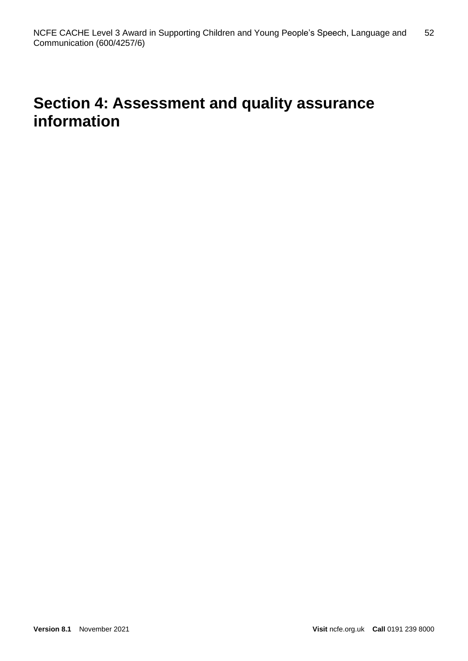# **Section 4: Assessment and quality assurance information**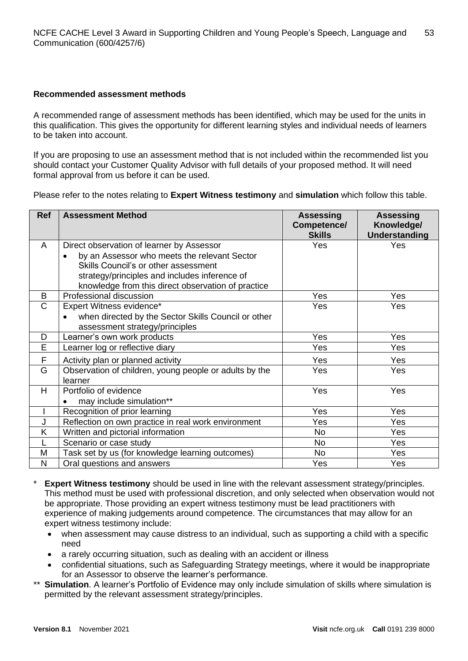# **Recommended assessment methods**

A recommended range of assessment methods has been identified, which may be used for the units in this qualification. This gives the opportunity for different learning styles and individual needs of learners to be taken into account.

If you are proposing to use an assessment method that is not included within the recommended list you should contact your Customer Quality Advisor with full details of your proposed method. It will need formal approval from us before it can be used.

Please refer to the notes relating to **Expert Witness testimony** and **simulation** which follow this table.

| <b>Ref</b> | <b>Assessment Method</b>                                  | <b>Assessing</b><br>Competence/<br><b>Skills</b> | <b>Assessing</b><br>Knowledge/<br>Understanding |
|------------|-----------------------------------------------------------|--------------------------------------------------|-------------------------------------------------|
| A          | Direct observation of learner by Assessor                 | Yes                                              | <b>Yes</b>                                      |
|            | by an Assessor who meets the relevant Sector<br>$\bullet$ |                                                  |                                                 |
|            | Skills Council's or other assessment                      |                                                  |                                                 |
|            | strategy/principles and includes inference of             |                                                  |                                                 |
|            | knowledge from this direct observation of practice        |                                                  |                                                 |
| B          | Professional discussion                                   | Yes                                              | Yes                                             |
| C          | Expert Witness evidence*                                  | Yes                                              | Yes                                             |
|            | when directed by the Sector Skills Council or other       |                                                  |                                                 |
|            | assessment strategy/principles                            |                                                  |                                                 |
| D          | Learner's own work products                               | Yes                                              | Yes                                             |
| E          | Learner log or reflective diary                           | Yes                                              | Yes                                             |
| F          | Activity plan or planned activity                         | Yes                                              | Yes                                             |
| G          | Observation of children, young people or adults by the    | Yes                                              | Yes                                             |
|            | learner                                                   |                                                  |                                                 |
| H          | Portfolio of evidence                                     | Yes                                              | Yes                                             |
|            | may include simulation**                                  |                                                  |                                                 |
|            | Recognition of prior learning                             | Yes                                              | Yes                                             |
| J          | Reflection on own practice in real work environment       | Yes                                              | Yes                                             |
| Κ          | Written and pictorial information                         | <b>No</b>                                        | Yes                                             |
|            | Scenario or case study                                    | No                                               | Yes                                             |
| M          | Task set by us (for knowledge learning outcomes)          | <b>No</b>                                        | Yes                                             |
| N          | Oral questions and answers                                | Yes                                              | Yes                                             |

- **Expert Witness testimony** should be used in line with the relevant assessment strategy/principles. This method must be used with professional discretion, and only selected when observation would not be appropriate. Those providing an expert witness testimony must be lead practitioners with experience of making judgements around competence. The circumstances that may allow for an expert witness testimony include:
	- when assessment may cause distress to an individual, such as supporting a child with a specific need
	- a rarely occurring situation, such as dealing with an accident or illness
	- confidential situations, such as Safeguarding Strategy meetings, where it would be inappropriate for an Assessor to observe the learner's performance.
- \*\* **Simulation**. A learner's Portfolio of Evidence may only include simulation of skills where simulation is permitted by the relevant assessment strategy/principles.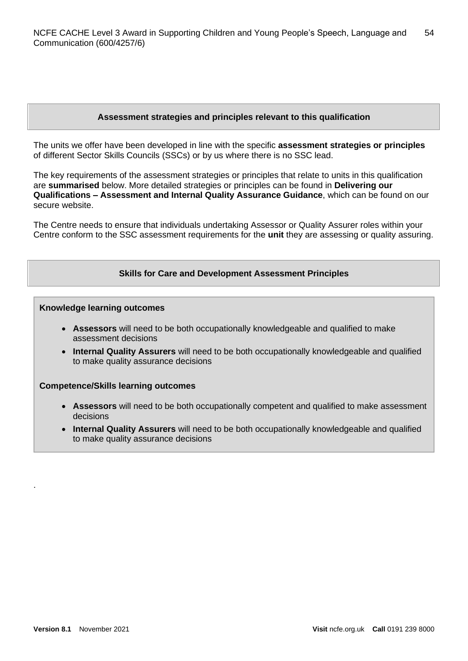# **Assessment strategies and principles relevant to this qualification**

The units we offer have been developed in line with the specific **assessment strategies or principles** of different Sector Skills Councils (SSCs) or by us where there is no SSC lead.

The key requirements of the assessment strategies or principles that relate to units in this qualification are **summarised** below. More detailed strategies or principles can be found in **Delivering our Qualifications – Assessment and Internal Quality Assurance Guidance**, which can be found on our secure website.

The Centre needs to ensure that individuals undertaking Assessor or Quality Assurer roles within your Centre conform to the SSC assessment requirements for the **unit** they are assessing or quality assuring.

# **Skills for Care and Development Assessment Principles**

#### **Knowledge learning outcomes**

- **Assessors** will need to be both occupationally knowledgeable and qualified to make assessment decisions
- **Internal Quality Assurers** will need to be both occupationally knowledgeable and qualified to make quality assurance decisions

#### **Competence/Skills learning outcomes**

- **Assessors** will need to be both occupationally competent and qualified to make assessment decisions
- **Internal Quality Assurers** will need to be both occupationally knowledgeable and qualified to make quality assurance decisions

.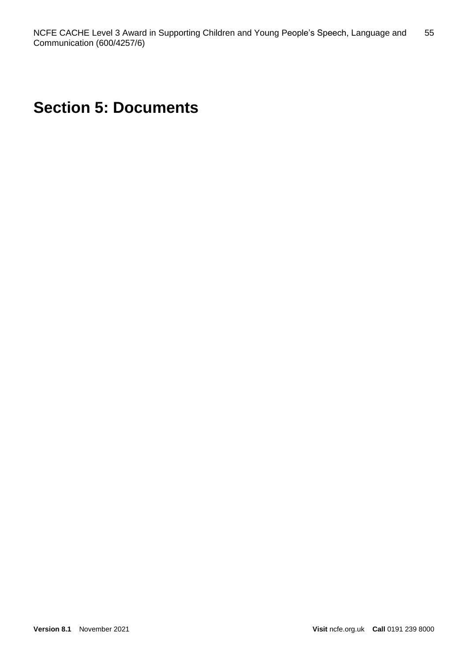# **Section 5: Documents**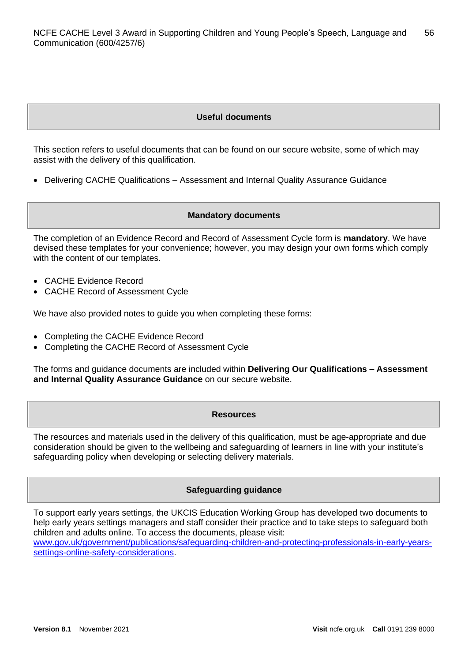# **Useful documents**

This section refers to useful documents that can be found on our secure website, some of which may assist with the delivery of this qualification.

• Delivering CACHE Qualifications – Assessment and Internal Quality Assurance Guidance

#### **Mandatory documents**

The completion of an Evidence Record and Record of Assessment Cycle form is **mandatory**. We have devised these templates for your convenience; however, you may design your own forms which comply with the content of our templates.

- CACHE Evidence Record
- CACHE Record of Assessment Cycle

We have also provided notes to guide you when completing these forms:

- Completing the CACHE Evidence Record
- Completing the CACHE Record of Assessment Cycle

The forms and guidance documents are included within **Delivering Our Qualifications – Assessment and Internal Quality Assurance Guidance** on our secure website.

#### **Resources**

The resources and materials used in the delivery of this qualification, must be age-appropriate and due consideration should be given to the wellbeing and safeguarding of learners in line with your institute's safeguarding policy when developing or selecting delivery materials.

#### **Safeguarding guidance**

To support early years settings, the UKCIS Education Working Group has developed two documents to help early years settings managers and staff consider their practice and to take steps to safeguard both children and adults online. To access the documents, please visit:

[www.gov.uk/government/publications/safeguarding-children-and-protecting-professionals-in-early-years](https://www.gov.uk/government/publications/safeguarding-children-and-protecting-professionals-in-early-years-settings-online-safety-considerations)[settings-online-safety-considerations.](https://www.gov.uk/government/publications/safeguarding-children-and-protecting-professionals-in-early-years-settings-online-safety-considerations)